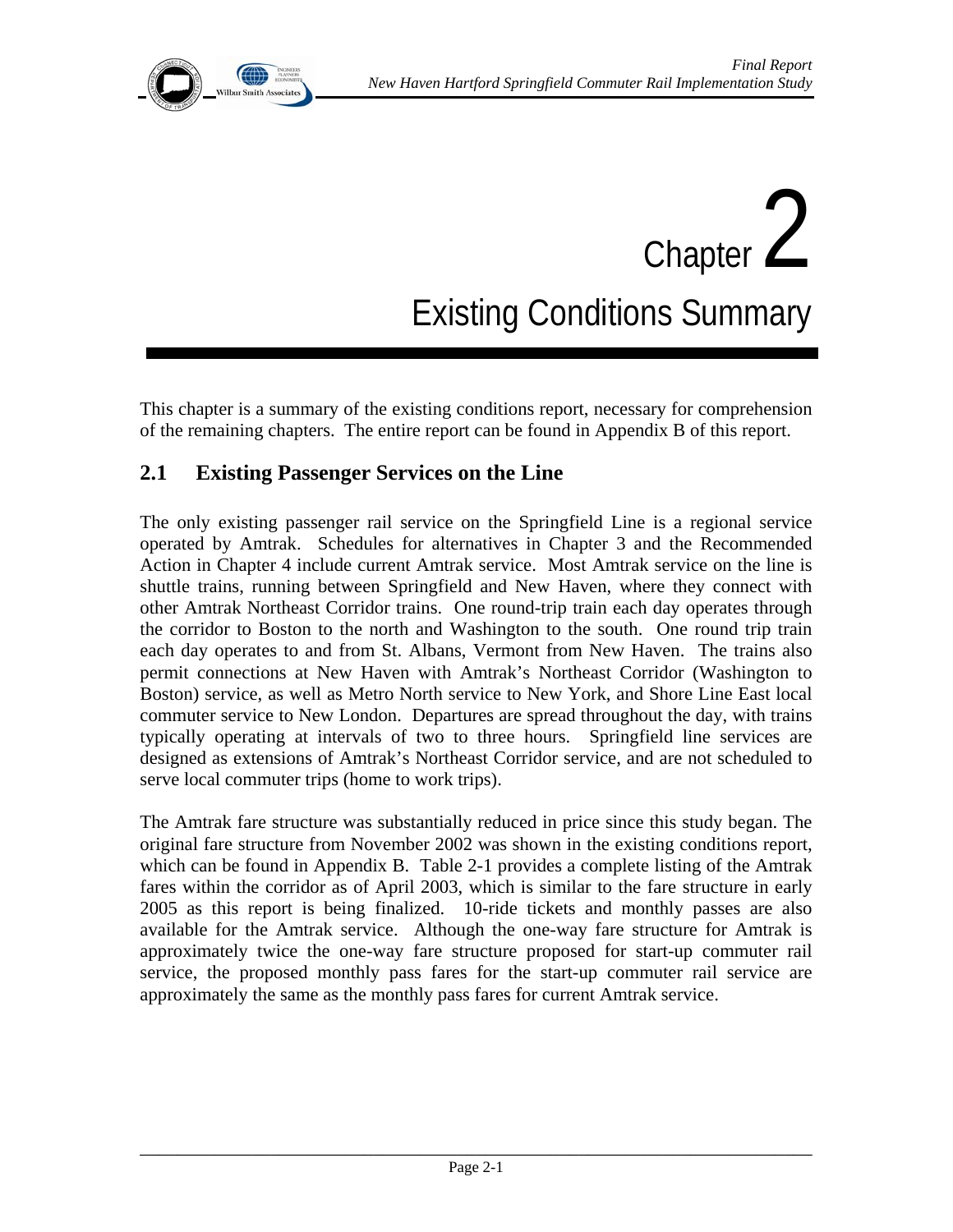

# Chapter 2 Existing Conditions Summary

This chapter is a summary of the existing conditions report, necessary for comprehension of the remaining chapters. The entire report can be found in Appendix B of this report.

# **2.1 Existing Passenger Services on the Line**

The only existing passenger rail service on the Springfield Line is a regional service operated by Amtrak. Schedules for alternatives in Chapter 3 and the Recommended Action in Chapter 4 include current Amtrak service. Most Amtrak service on the line is shuttle trains, running between Springfield and New Haven, where they connect with other Amtrak Northeast Corridor trains. One round-trip train each day operates through the corridor to Boston to the north and Washington to the south. One round trip train each day operates to and from St. Albans, Vermont from New Haven. The trains also permit connections at New Haven with Amtrak's Northeast Corridor (Washington to Boston) service, as well as Metro North service to New York, and Shore Line East local commuter service to New London. Departures are spread throughout the day, with trains typically operating at intervals of two to three hours. Springfield line services are designed as extensions of Amtrak's Northeast Corridor service, and are not scheduled to serve local commuter trips (home to work trips).

The Amtrak fare structure was substantially reduced in price since this study began. The original fare structure from November 2002 was shown in the existing conditions report, which can be found in Appendix B. Table 2-1 provides a complete listing of the Amtrak fares within the corridor as of April 2003, which is similar to the fare structure in early 2005 as this report is being finalized. 10-ride tickets and monthly passes are also available for the Amtrak service. Although the one-way fare structure for Amtrak is approximately twice the one-way fare structure proposed for start-up commuter rail service, the proposed monthly pass fares for the start-up commuter rail service are approximately the same as the monthly pass fares for current Amtrak service.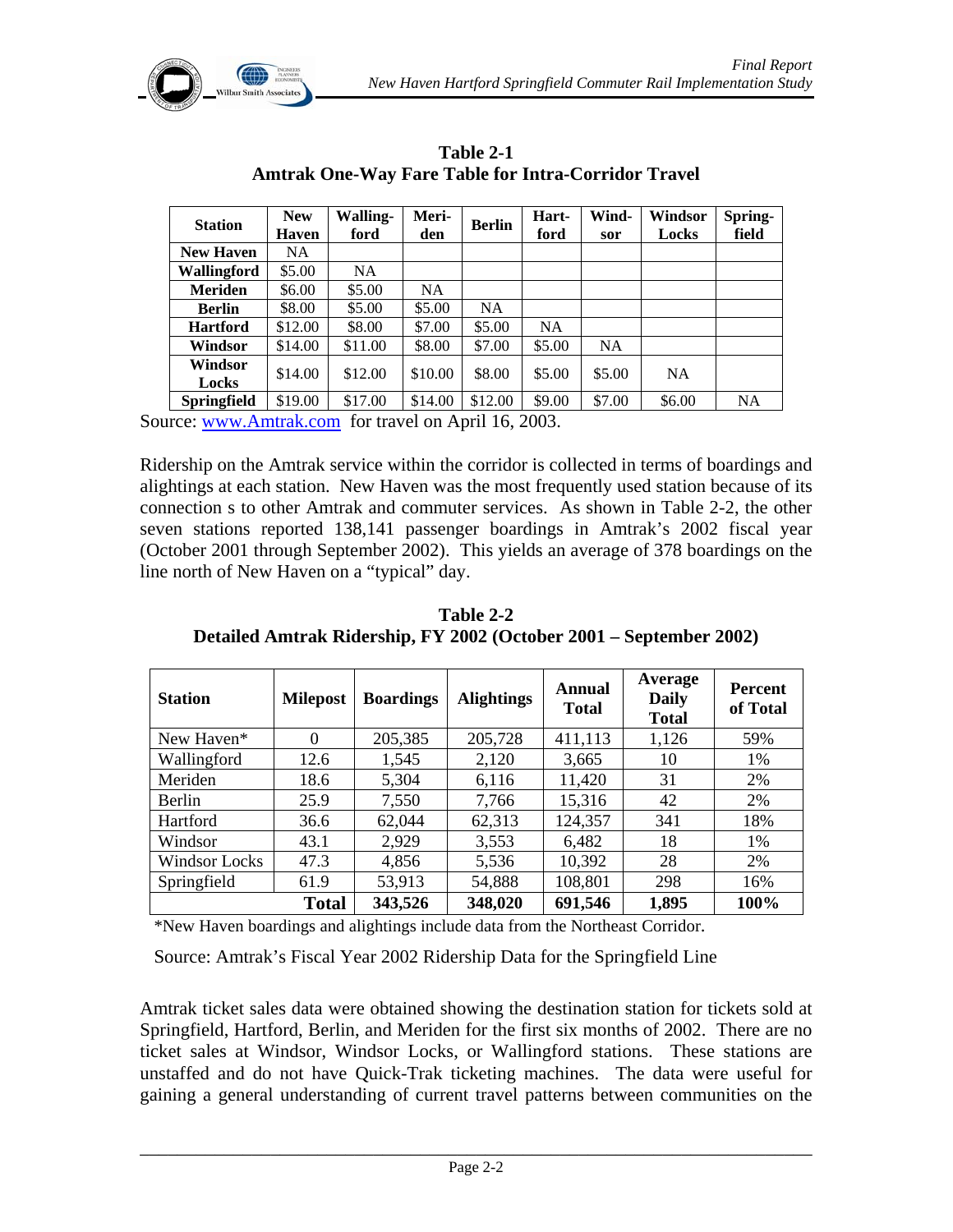

| <b>Station</b>     | <b>New</b><br><b>Haven</b> | <b>Walling-</b><br>ford | Meri-<br>den | <b>Berlin</b> | Hart-<br>ford | Wind-<br>sor | Windsor<br>Locks | Spring-<br>field |
|--------------------|----------------------------|-------------------------|--------------|---------------|---------------|--------------|------------------|------------------|
| <b>New Haven</b>   | NA.                        |                         |              |               |               |              |                  |                  |
| Wallingford        | \$5.00                     | <b>NA</b>               |              |               |               |              |                  |                  |
| <b>Meriden</b>     | \$6.00                     | \$5.00                  | NA           |               |               |              |                  |                  |
| <b>Berlin</b>      | \$8.00                     | \$5.00                  | \$5.00       | <b>NA</b>     |               |              |                  |                  |
| <b>Hartford</b>    | \$12.00                    | \$8.00                  | \$7.00       | \$5.00        | <b>NA</b>     |              |                  |                  |
| Windsor            | \$14.00                    | \$11.00                 | \$8.00       | \$7.00        | \$5.00        | <b>NA</b>    |                  |                  |
| Windsor<br>Locks   | \$14.00                    | \$12.00                 | \$10.00      | \$8.00        | \$5.00        | \$5.00       | <b>NA</b>        |                  |
| <b>Springfield</b> | \$19.00                    | \$17.00                 | \$14.00      | \$12.00       | \$9.00        | \$7.00       | \$6.00           | <b>NA</b>        |

**Table 2-1 Amtrak One-Way Fare Table for Intra-Corridor Travel** 

Source: www.Amtrak.com for travel on April 16, 2003.

Ridership on the Amtrak service within the corridor is collected in terms of boardings and alightings at each station. New Haven was the most frequently used station because of its connection s to other Amtrak and commuter services. As shown in Table 2-2, the other seven stations reported 138,141 passenger boardings in Amtrak's 2002 fiscal year (October 2001 through September 2002). This yields an average of 378 boardings on the line north of New Haven on a "typical" day.

| <b>Station</b> | <b>Milepost</b> | <b>Boardings</b> | <b>Alightings</b> | Annual<br><b>Total</b> | Average<br><b>Daily</b><br><b>Total</b> | <b>Percent</b><br>of Total |
|----------------|-----------------|------------------|-------------------|------------------------|-----------------------------------------|----------------------------|
| New Haven*     | $\Omega$        | 205,385          | 205,728           | 411,113                | 1,126                                   | 59%                        |
| Wallingford    | 12.6            | 1,545            | 2,120             | 3,665                  | 10                                      | 1%                         |
| Meriden        | 18.6            | 5,304            | 6,116             | 11,420                 | 31                                      | 2%                         |
| Berlin         | 25.9            | 7,550            | 7,766             | 15,316                 | 42                                      | 2%                         |
| Hartford       | 36.6            | 62,044           | 62,313            | 124,357                | 341                                     | 18%                        |
| Windsor        | 43.1            | 2,929            | 3,553             | 6,482                  | 18                                      | 1%                         |
| Windsor Locks  | 47.3            | 4,856            | 5,536             | 10,392                 | 28                                      | 2%                         |
| Springfield    | 61.9            | 53,913           | 54,888            | 108,801                | 298                                     | 16%                        |
|                | <b>Total</b>    | 343,526          | 348,020           | 691,546                | 1,895                                   | 100%                       |

**Table 2-2 Detailed Amtrak Ridership, FY 2002 (October 2001 – September 2002)**

\*New Haven boardings and alightings include data from the Northeast Corridor.

Source: Amtrak's Fiscal Year 2002 Ridership Data for the Springfield Line

Amtrak ticket sales data were obtained showing the destination station for tickets sold at Springfield, Hartford, Berlin, and Meriden for the first six months of 2002. There are no ticket sales at Windsor, Windsor Locks, or Wallingford stations. These stations are unstaffed and do not have Quick-Trak ticketing machines. The data were useful for gaining a general understanding of current travel patterns between communities on the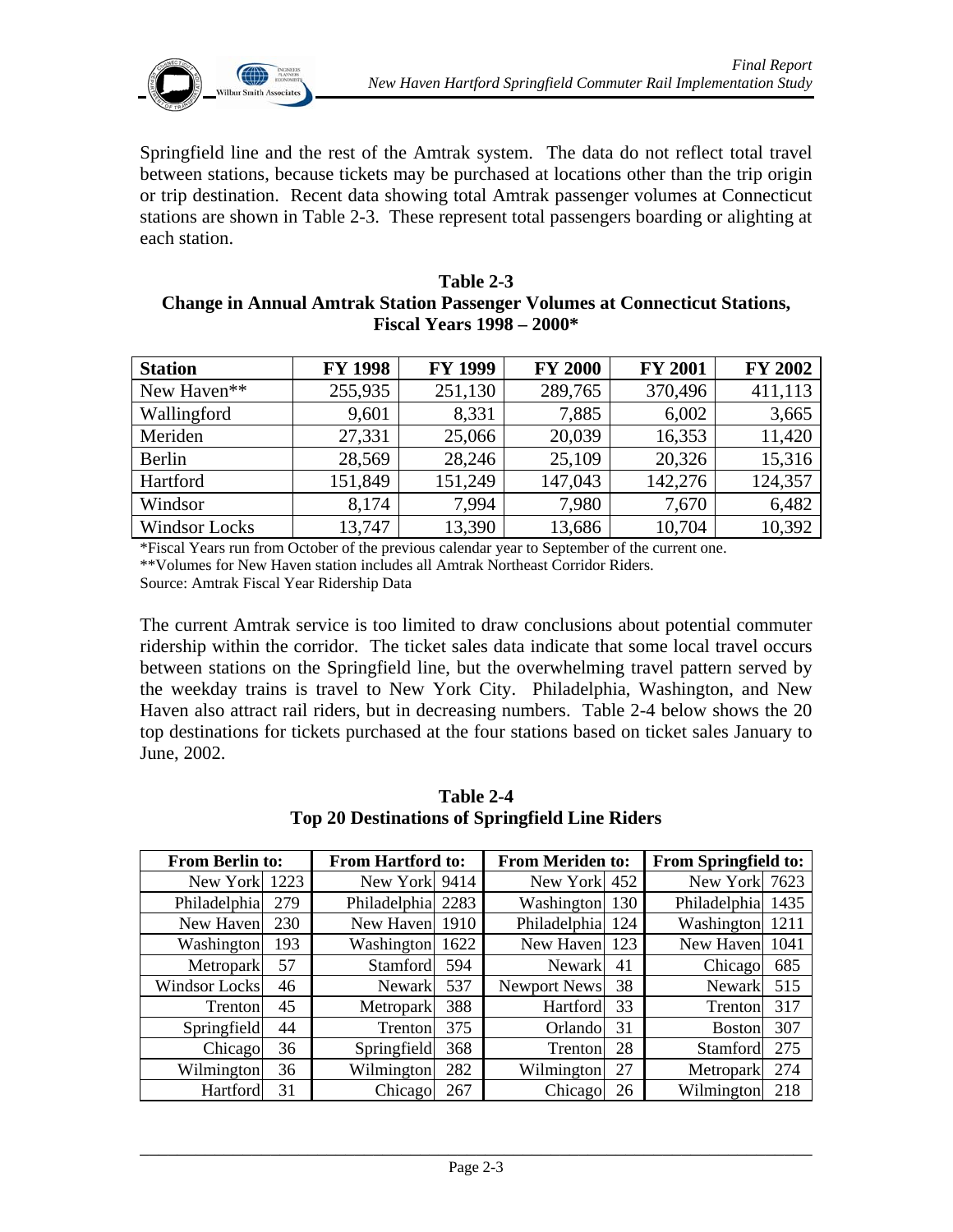

Springfield line and the rest of the Amtrak system. The data do not reflect total travel between stations, because tickets may be purchased at locations other than the trip origin or trip destination. Recent data showing total Amtrak passenger volumes at Connecticut stations are shown in Table 2-3. These represent total passengers boarding or alighting at each station.

#### **Table 2-3 Change in Annual Amtrak Station Passenger Volumes at Connecticut Stations, Fiscal Years 1998 – 2000\***

| <b>Station</b>       | <b>FY 1998</b> | <b>FY 1999</b> | <b>FY 2000</b> | <b>FY 2001</b> | <b>FY 2002</b> |
|----------------------|----------------|----------------|----------------|----------------|----------------|
| New Haven**          | 255,935        | 251,130        | 289,765        | 370,496        | 411,113        |
| Wallingford          | 9,601          | 8,331          | 7,885          | 6,002          | 3,665          |
| Meriden              | 27,331         | 25,066         | 20,039         | 16,353         | 11,420         |
| Berlin               | 28,569         | 28,246         | 25,109         | 20,326         | 15,316         |
| Hartford             | 151,849        | 151,249        | 147,043        | 142,276        | 124,357        |
| Windsor              | 8,174          | 7,994          | 7,980          | 7,670          | 6,482          |
| <b>Windsor Locks</b> | 13,747         | 13,390         | 13,686         | 10,704         | 10,392         |

\*Fiscal Years run from October of the previous calendar year to September of the current one. \*\*Volumes for New Haven station includes all Amtrak Northeast Corridor Riders. Source: Amtrak Fiscal Year Ridership Data

The current Amtrak service is too limited to draw conclusions about potential commuter ridership within the corridor. The ticket sales data indicate that some local travel occurs between stations on the Springfield line, but the overwhelming travel pattern served by the weekday trains is travel to New York City. Philadelphia, Washington, and New Haven also attract rail riders, but in decreasing numbers. Table 2-4 below shows the 20 top destinations for tickets purchased at the four stations based on ticket sales January to June, 2002.

| <b>From Berlin to:</b> |     | <b>From Hartford to:</b> |      | <b>From Meriden to:</b> |     | <b>From Springfield to:</b> |      |
|------------------------|-----|--------------------------|------|-------------------------|-----|-----------------------------|------|
| New York 1223          |     | New York 9414            |      | New York 452            |     | New York                    | 7623 |
| Philadelphia           | 279 | Philadelphia             | 2283 | Washington              | 130 | Philadelphia                | 1435 |
| New Haven              | 230 | New Haven                | 1910 | Philadelphia            | 124 | Washington                  | 1211 |
| Washington             | 193 | Washington               | 1622 | New Haven               | 123 | New Haven                   | 1041 |
| Metropark              | 57  | Stamford                 | 594  | <b>Newark</b>           | 41  | Chicago                     | 685  |
| Windsor Locks          | 46  | <b>Newark</b>            | 537  | Newport News            | 38  | <b>Newark</b>               | 515  |
| Trenton                | 45  | Metropark                | 388  | Hartford                | 33  | Trenton                     | 317  |
| Springfield            | 44  | Trenton                  | 375  | Orlando                 | 31  | <b>Boston</b>               | 307  |
| Chicago                | 36  | Springfield              | 368  | Trenton                 | 28  | Stamford                    | 275  |
| Wilmington             | 36  | Wilmington               | 282  | Wilmington              | 27  | Metropark                   | 274  |
| Hartford               | 31  | Chicago                  | 267  | Chicago                 | 26  | Wilmington                  | 218  |

**Table 2-4 Top 20 Destinations of Springfield Line Riders**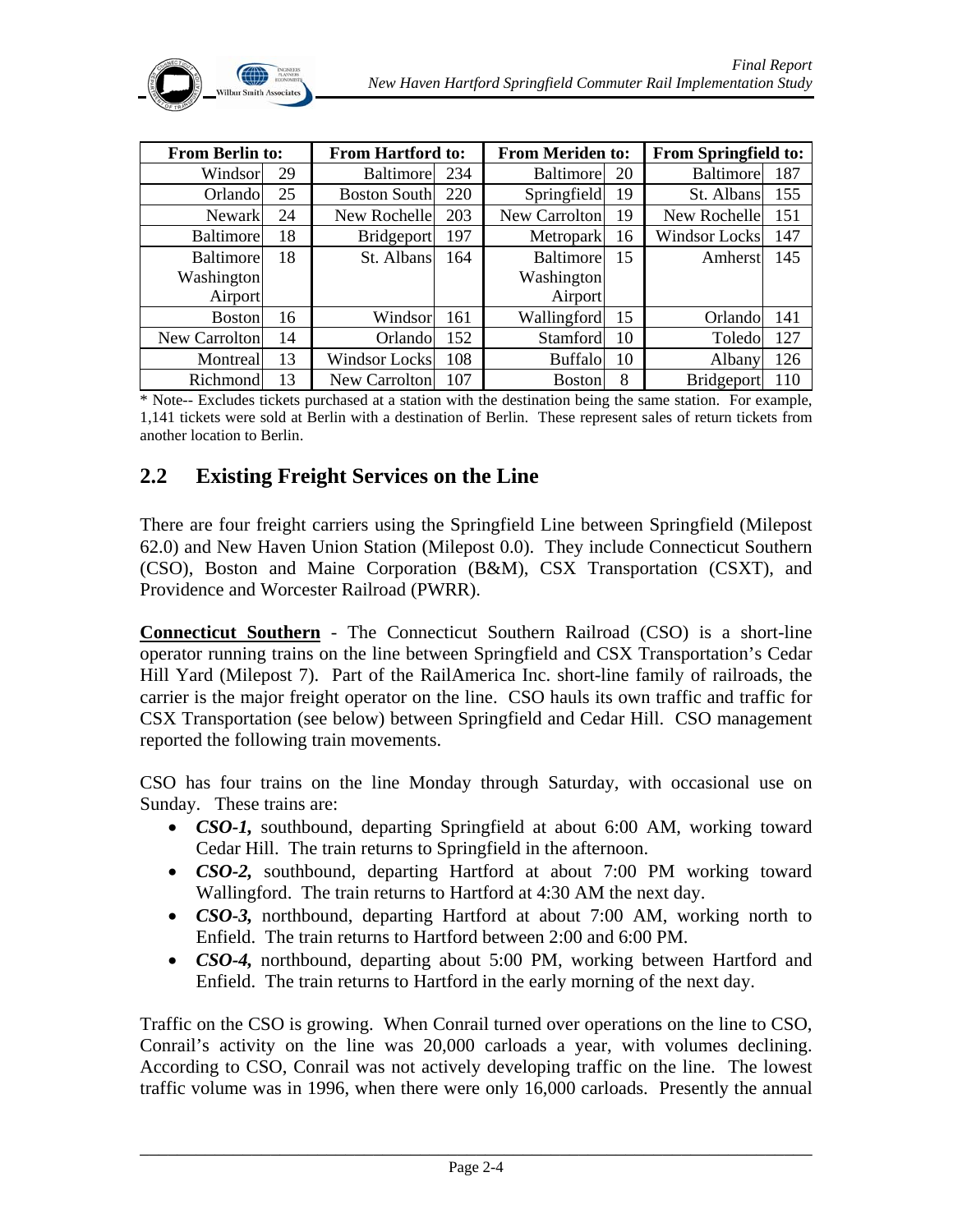

| <b>From Berlin to:</b> |    | <b>From Hartford to:</b> |     | <b>From Meriden to:</b> |    | <b>From Springfield to:</b> |     |
|------------------------|----|--------------------------|-----|-------------------------|----|-----------------------------|-----|
| Windsor                | 29 | <b>Baltimore</b>         | 234 | <b>Baltimore</b>        | 20 | <b>Baltimore</b>            | 187 |
| Orlandol               | 25 | <b>Boston South</b>      | 220 | Springfield             | 19 | St. Albans                  | 155 |
| <b>Newark</b>          | 24 | New Rochelle             | 203 | New Carrolton           | 19 | New Rochelle                | 151 |
| <b>Baltimore</b>       | 18 | <b>Bridgeport</b>        | 197 | <b>Metropark</b>        | 16 | Windsor Locks               | 147 |
| <b>Baltimore</b>       | 18 | St. Albans               | 164 | <b>Baltimore</b>        | 15 | Amherst                     | 145 |
| Washington             |    |                          |     | Washington              |    |                             |     |
| Airport                |    |                          |     | Airport                 |    |                             |     |
| <b>Boston</b>          | 16 | Windsor                  | 161 | Wallingford             | 15 | Orlando                     | 141 |
| New Carrolton          | 14 | Orlando                  | 152 | Stamford                | 10 | Toledo                      | 127 |
| Montreal               | 13 | Windsor Locks            | 108 | <b>Buffalo</b>          | 10 | Albany                      | 126 |
| Richmond               | 13 | New Carrolton            | 107 | <b>Boston</b>           | 8  | <b>Bridgeport</b>           | 110 |

\* Note-- Excludes tickets purchased at a station with the destination being the same station. For example, 1,141 tickets were sold at Berlin with a destination of Berlin. These represent sales of return tickets from another location to Berlin.

## **2.2 Existing Freight Services on the Line**

There are four freight carriers using the Springfield Line between Springfield (Milepost 62.0) and New Haven Union Station (Milepost 0.0). They include Connecticut Southern (CSO), Boston and Maine Corporation (B&M), CSX Transportation (CSXT), and Providence and Worcester Railroad (PWRR).

**Connecticut Southern** - The Connecticut Southern Railroad (CSO) is a short-line operator running trains on the line between Springfield and CSX Transportation's Cedar Hill Yard (Milepost 7). Part of the RailAmerica Inc. short-line family of railroads, the carrier is the major freight operator on the line. CSO hauls its own traffic and traffic for CSX Transportation (see below) between Springfield and Cedar Hill. CSO management reported the following train movements.

CSO has four trains on the line Monday through Saturday, with occasional use on Sunday. These trains are:

- *CSO-1,* southbound, departing Springfield at about 6:00 AM, working toward Cedar Hill. The train returns to Springfield in the afternoon.
- *CSO-2,* southbound, departing Hartford at about 7:00 PM working toward Wallingford. The train returns to Hartford at 4:30 AM the next day.
- *CSO-3,* northbound, departing Hartford at about 7:00 AM, working north to Enfield. The train returns to Hartford between 2:00 and 6:00 PM.
- *CSO-4*, northbound, departing about 5:00 PM, working between Hartford and Enfield. The train returns to Hartford in the early morning of the next day.

Traffic on the CSO is growing. When Conrail turned over operations on the line to CSO, Conrail's activity on the line was 20,000 carloads a year, with volumes declining. According to CSO, Conrail was not actively developing traffic on the line. The lowest traffic volume was in 1996, when there were only 16,000 carloads. Presently the annual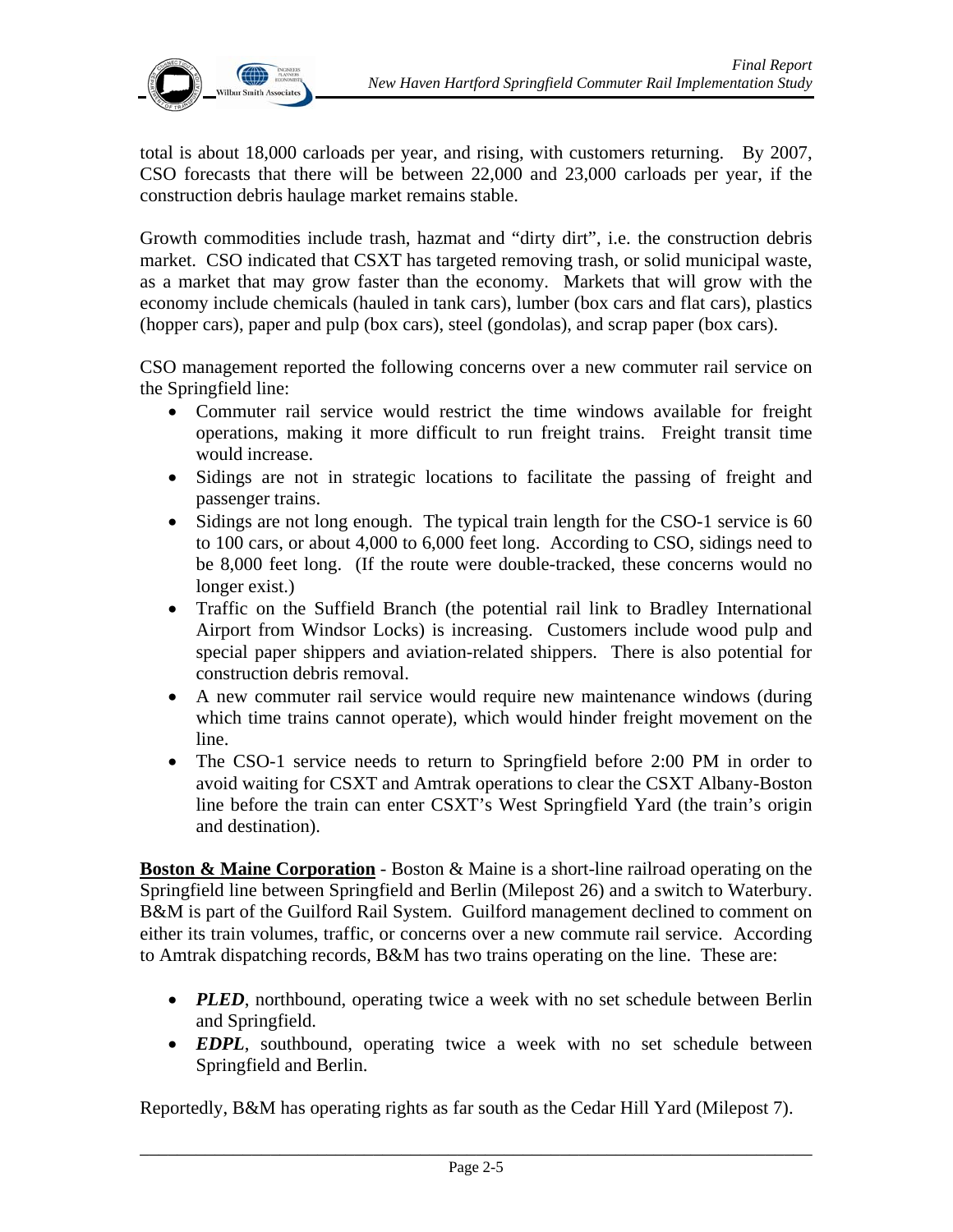

total is about 18,000 carloads per year, and rising, with customers returning. By 2007, CSO forecasts that there will be between 22,000 and 23,000 carloads per year, if the construction debris haulage market remains stable.

Growth commodities include trash, hazmat and "dirty dirt", i.e. the construction debris market. CSO indicated that CSXT has targeted removing trash, or solid municipal waste, as a market that may grow faster than the economy. Markets that will grow with the economy include chemicals (hauled in tank cars), lumber (box cars and flat cars), plastics (hopper cars), paper and pulp (box cars), steel (gondolas), and scrap paper (box cars).

CSO management reported the following concerns over a new commuter rail service on the Springfield line:

- Commuter rail service would restrict the time windows available for freight operations, making it more difficult to run freight trains. Freight transit time would increase.
- Sidings are not in strategic locations to facilitate the passing of freight and passenger trains.
- Sidings are not long enough. The typical train length for the CSO-1 service is 60 to 100 cars, or about 4,000 to 6,000 feet long. According to CSO, sidings need to be 8,000 feet long. (If the route were double-tracked, these concerns would no longer exist.)
- Traffic on the Suffield Branch (the potential rail link to Bradley International Airport from Windsor Locks) is increasing. Customers include wood pulp and special paper shippers and aviation-related shippers. There is also potential for construction debris removal.
- A new commuter rail service would require new maintenance windows (during which time trains cannot operate), which would hinder freight movement on the line.
- The CSO-1 service needs to return to Springfield before 2:00 PM in order to avoid waiting for CSXT and Amtrak operations to clear the CSXT Albany-Boston line before the train can enter CSXT's West Springfield Yard (the train's origin and destination).

**Boston & Maine Corporation** - Boston & Maine is a short-line railroad operating on the Springfield line between Springfield and Berlin (Milepost 26) and a switch to Waterbury. B&M is part of the Guilford Rail System. Guilford management declined to comment on either its train volumes, traffic, or concerns over a new commute rail service. According to Amtrak dispatching records, B&M has two trains operating on the line. These are:

- *PLED*, northbound, operating twice a week with no set schedule between Berlin and Springfield.
- *EDPL*, southbound, operating twice a week with no set schedule between Springfield and Berlin.

Reportedly, B&M has operating rights as far south as the Cedar Hill Yard (Milepost 7).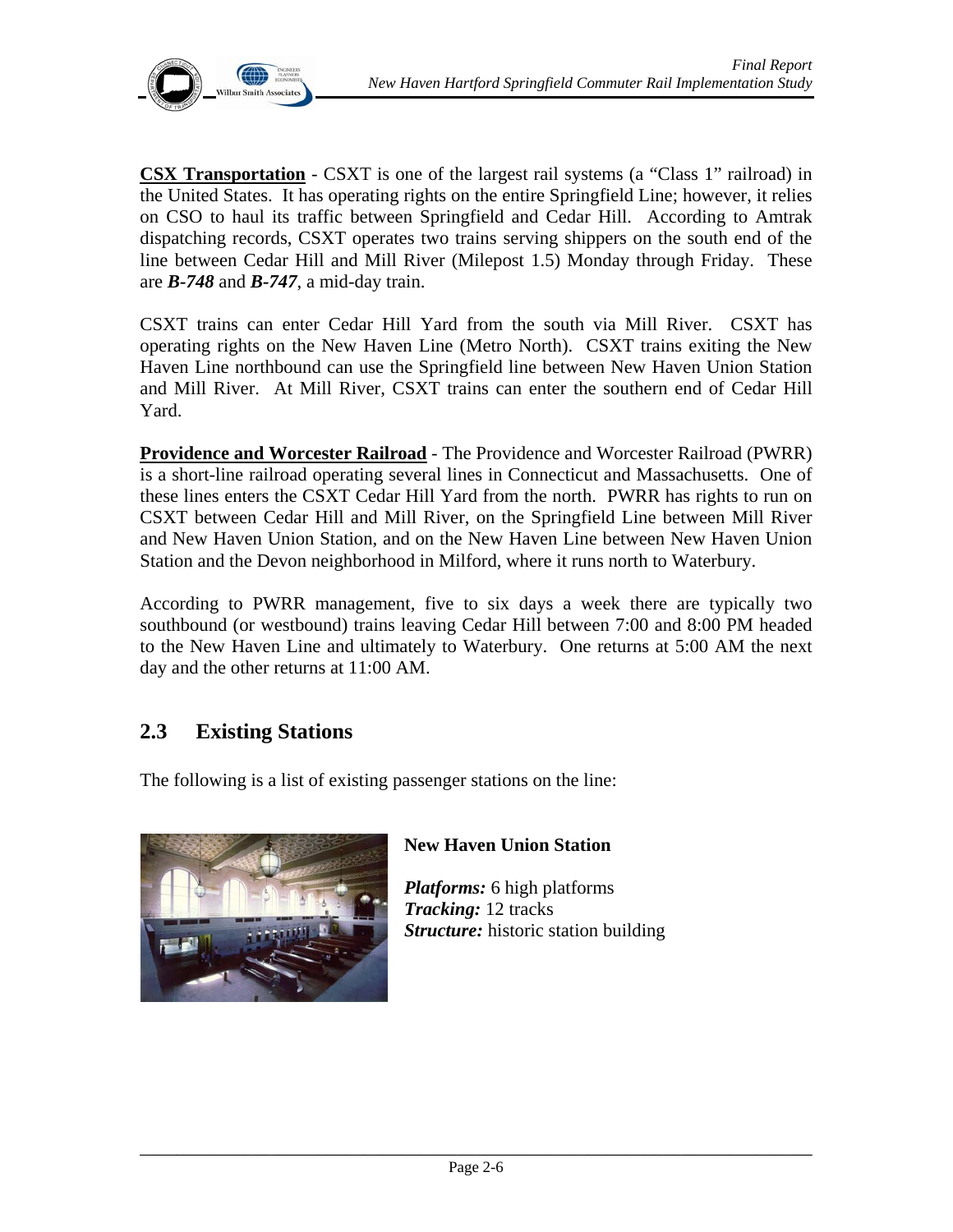**CSX Transportation** - CSXT is one of the largest rail systems (a "Class 1" railroad) in the United States. It has operating rights on the entire Springfield Line; however, it relies on CSO to haul its traffic between Springfield and Cedar Hill. According to Amtrak dispatching records, CSXT operates two trains serving shippers on the south end of the line between Cedar Hill and Mill River (Milepost 1.5) Monday through Friday. These are *B-748* and *B-747*, a mid-day train.

CSXT trains can enter Cedar Hill Yard from the south via Mill River. CSXT has operating rights on the New Haven Line (Metro North). CSXT trains exiting the New Haven Line northbound can use the Springfield line between New Haven Union Station and Mill River. At Mill River, CSXT trains can enter the southern end of Cedar Hill Yard.

**Providence and Worcester Railroad** - The Providence and Worcester Railroad (PWRR) is a short-line railroad operating several lines in Connecticut and Massachusetts. One of these lines enters the CSXT Cedar Hill Yard from the north. PWRR has rights to run on CSXT between Cedar Hill and Mill River, on the Springfield Line between Mill River and New Haven Union Station, and on the New Haven Line between New Haven Union Station and the Devon neighborhood in Milford, where it runs north to Waterbury.

According to PWRR management, five to six days a week there are typically two southbound (or westbound) trains leaving Cedar Hill between 7:00 and 8:00 PM headed to the New Haven Line and ultimately to Waterbury. One returns at 5:00 AM the next day and the other returns at 11:00 AM.

# **2.3 Existing Stations**

The following is a list of existing passenger stations on the line:



## **New Haven Union Station**

*Platforms:* 6 high platforms *Tracking:* 12 tracks *Structure:* historic station building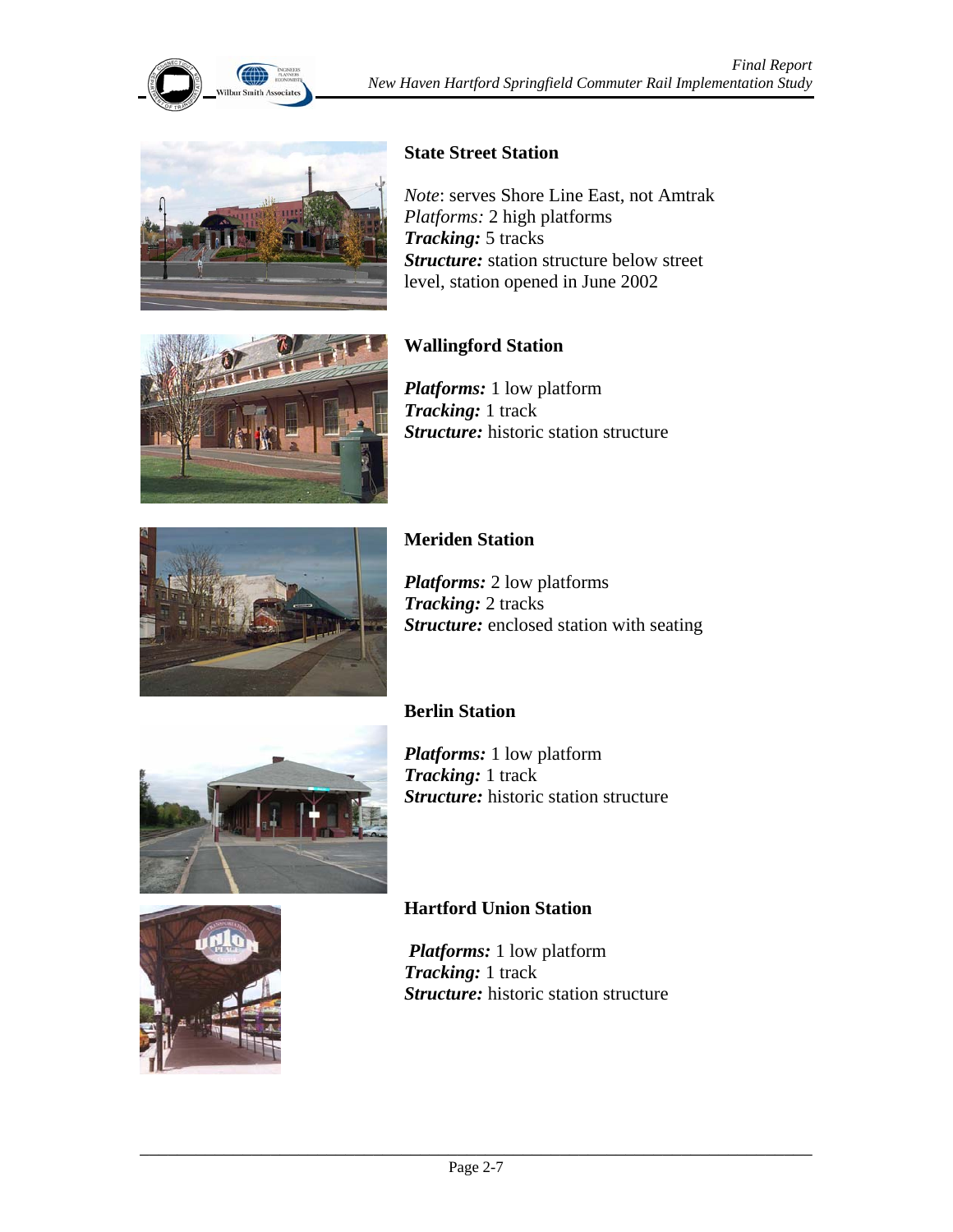



#### **State Street Station**

*Note*: serves Shore Line East, not Amtrak *Platforms:* 2 high platforms *Tracking:* 5 tracks *Structure:* station structure below street level, station opened in June 2002



## **Wallingford Station**

*Platforms:* 1 low platform *Tracking:* 1 track *Structure:* historic station structure



## **Meriden Station**

*Platforms:* 2 low platforms *Tracking:* 2 tracks *Structure:* enclosed station with seating



#### **Berlin Station**

*Platforms:* 1 low platform **Tracking:** 1 track *Structure:* historic station structure



#### **Hartford Union Station**

 *Platforms:* 1 low platform *Tracking:* 1 track *Structure:* historic station structure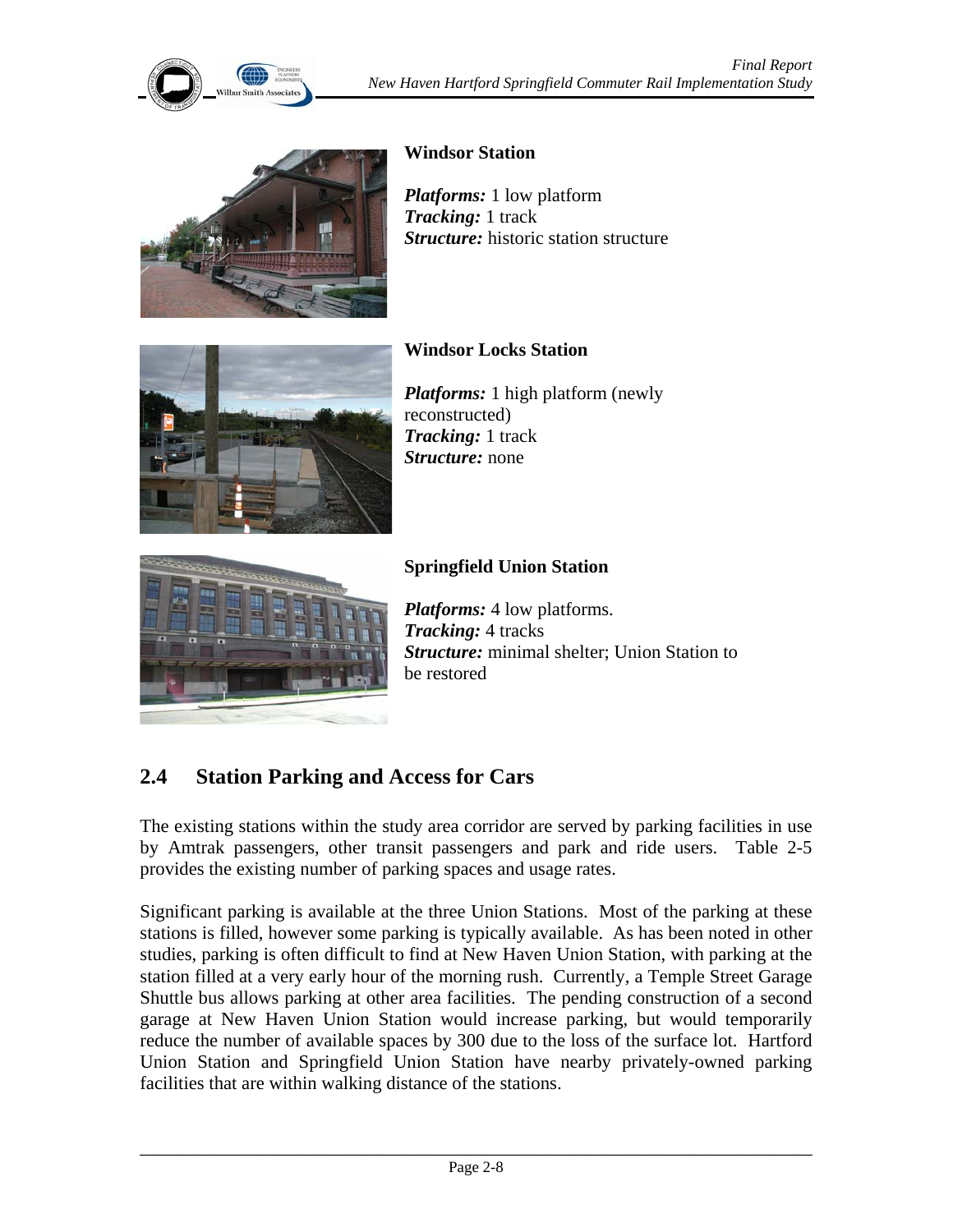

#### **Windsor Station**

*Platforms:* 1 low platform *Tracking:* 1 track *Structure:* historic station structure



## **Windsor Locks Station**

*Platforms:* 1 high platform (newly reconstructed) *Tracking:* 1 track *Structure:* none



#### **Springfield Union Station**

*Platforms:* 4 low platforms. *Tracking:* 4 tracks *Structure:* minimal shelter; Union Station to be restored

# **2.4 Station Parking and Access for Cars**

The existing stations within the study area corridor are served by parking facilities in use by Amtrak passengers, other transit passengers and park and ride users. Table 2-5 provides the existing number of parking spaces and usage rates.

Significant parking is available at the three Union Stations. Most of the parking at these stations is filled, however some parking is typically available. As has been noted in other studies, parking is often difficult to find at New Haven Union Station, with parking at the station filled at a very early hour of the morning rush. Currently, a Temple Street Garage Shuttle bus allows parking at other area facilities. The pending construction of a second garage at New Haven Union Station would increase parking, but would temporarily reduce the number of available spaces by 300 due to the loss of the surface lot. Hartford Union Station and Springfield Union Station have nearby privately-owned parking facilities that are within walking distance of the stations.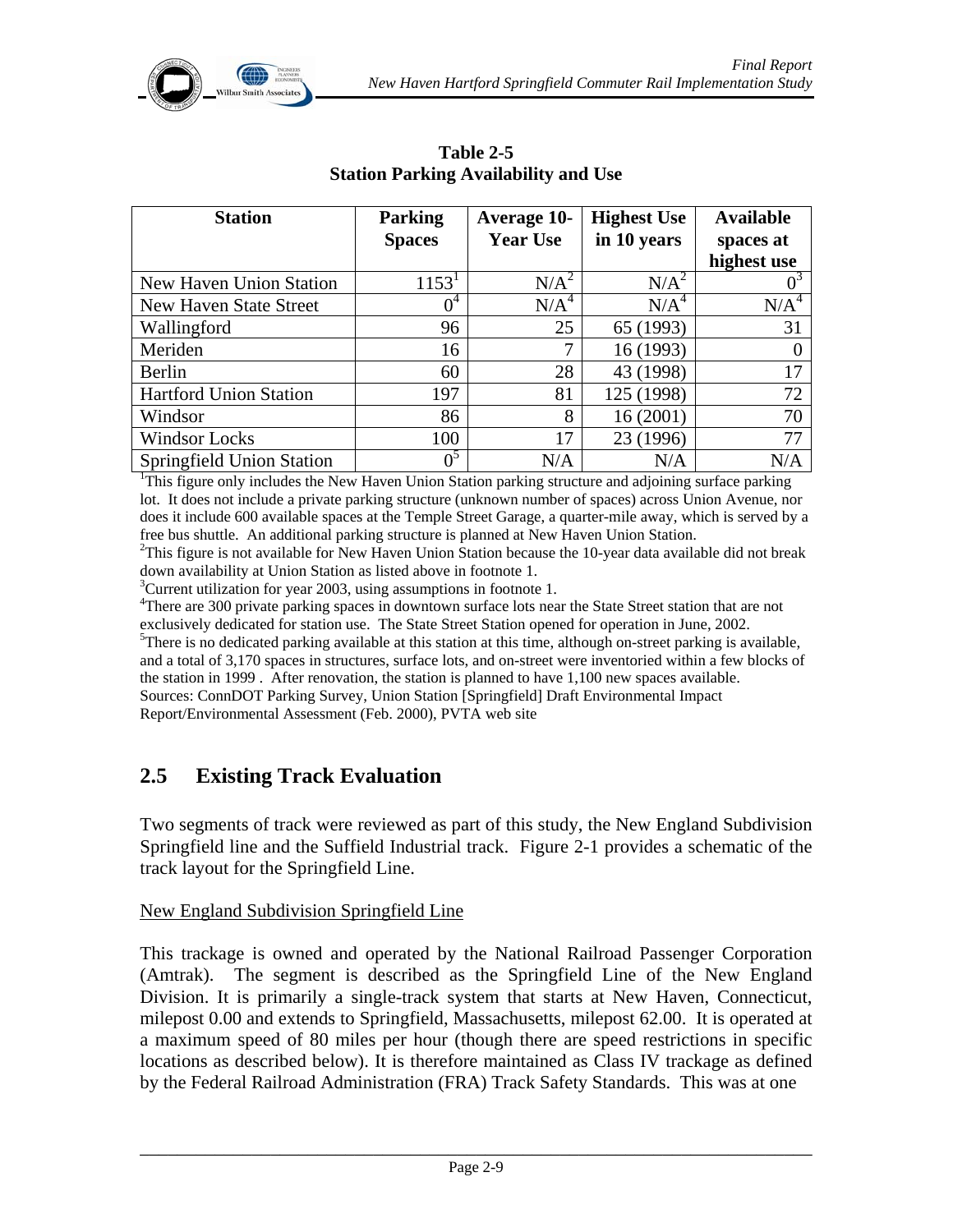

| <b>Station</b>                 | <b>Parking</b><br><b>Spaces</b> | <b>Average 10-</b><br><b>Year Use</b> | <b>Highest Use</b><br>in 10 years | <b>Available</b><br>spaces at |
|--------------------------------|---------------------------------|---------------------------------------|-----------------------------------|-------------------------------|
|                                |                                 |                                       |                                   | highest use                   |
| <b>New Haven Union Station</b> | $1153^1$                        | $N/A^2$                               | N/A <sup>2</sup>                  |                               |
| New Haven State Street         | $0^4$                           | N/A <sup>4</sup>                      | N/A <sup>4</sup>                  | N/A <sup>4</sup>              |
| Wallingford                    | 96                              | 25                                    | 65 (1993)                         | 31                            |
| Meriden                        | 16                              | 7                                     | 16 (1993)                         |                               |
| Berlin                         | 60                              | 28                                    | 43 (1998)                         | 17                            |
| <b>Hartford Union Station</b>  | 197                             | 81                                    | 125 (1998)                        | 72                            |
| Windsor                        | 86                              | 8                                     | 16(2001)                          | 70                            |
| <b>Windsor Locks</b>           | 100                             | 17                                    | 23 (1996)                         | 77                            |
| Springfield Union Station      | $0^5$                           | N/A                                   | N/A                               | N/A                           |

**Table 2-5 Station Parking Availability and Use** 

<sup>1</sup>This figure only includes the New Haven Union Station parking structure and adjoining surface parking lot. It does not include a private parking structure (unknown number of spaces) across Union Avenue, nor does it include 600 available spaces at the Temple Street Garage, a quarter-mile away, which is served by a free bus shuttle. An additional parking structure is planned at New Haven Union Station. 2

 $T$ his figure is not available for New Haven Union Station because the 10-year data available did not break down availability at Union Station as listed above in footnote 1.

 $3$ Current utilization for year 2003, using assumptions in footnote 1.

<sup>4</sup>There are 300 private parking spaces in downtown surface lots near the State Street station that are not exclusively dedicated for station use. The State Street Station opened for operation in June, 2002.  $5$ There is no dedicated parking available at this station at this time, although on-street parking is available, and a total of 3,170 spaces in structures, surface lots, and on-street were inventoried within a few blocks of the station in 1999 . After renovation, the station is planned to have 1,100 new spaces available. Sources: ConnDOT Parking Survey, Union Station [Springfield] Draft Environmental Impact Report/Environmental Assessment (Feb. 2000), PVTA web site

## **2.5 Existing Track Evaluation**

Two segments of track were reviewed as part of this study, the New England Subdivision Springfield line and the Suffield Industrial track. Figure 2-1 provides a schematic of the track layout for the Springfield Line.

#### New England Subdivision Springfield Line

This trackage is owned and operated by the National Railroad Passenger Corporation (Amtrak). The segment is described as the Springfield Line of the New England Division. It is primarily a single-track system that starts at New Haven, Connecticut, milepost 0.00 and extends to Springfield, Massachusetts, milepost 62.00. It is operated at a maximum speed of 80 miles per hour (though there are speed restrictions in specific locations as described below). It is therefore maintained as Class IV trackage as defined by the Federal Railroad Administration (FRA) Track Safety Standards. This was at one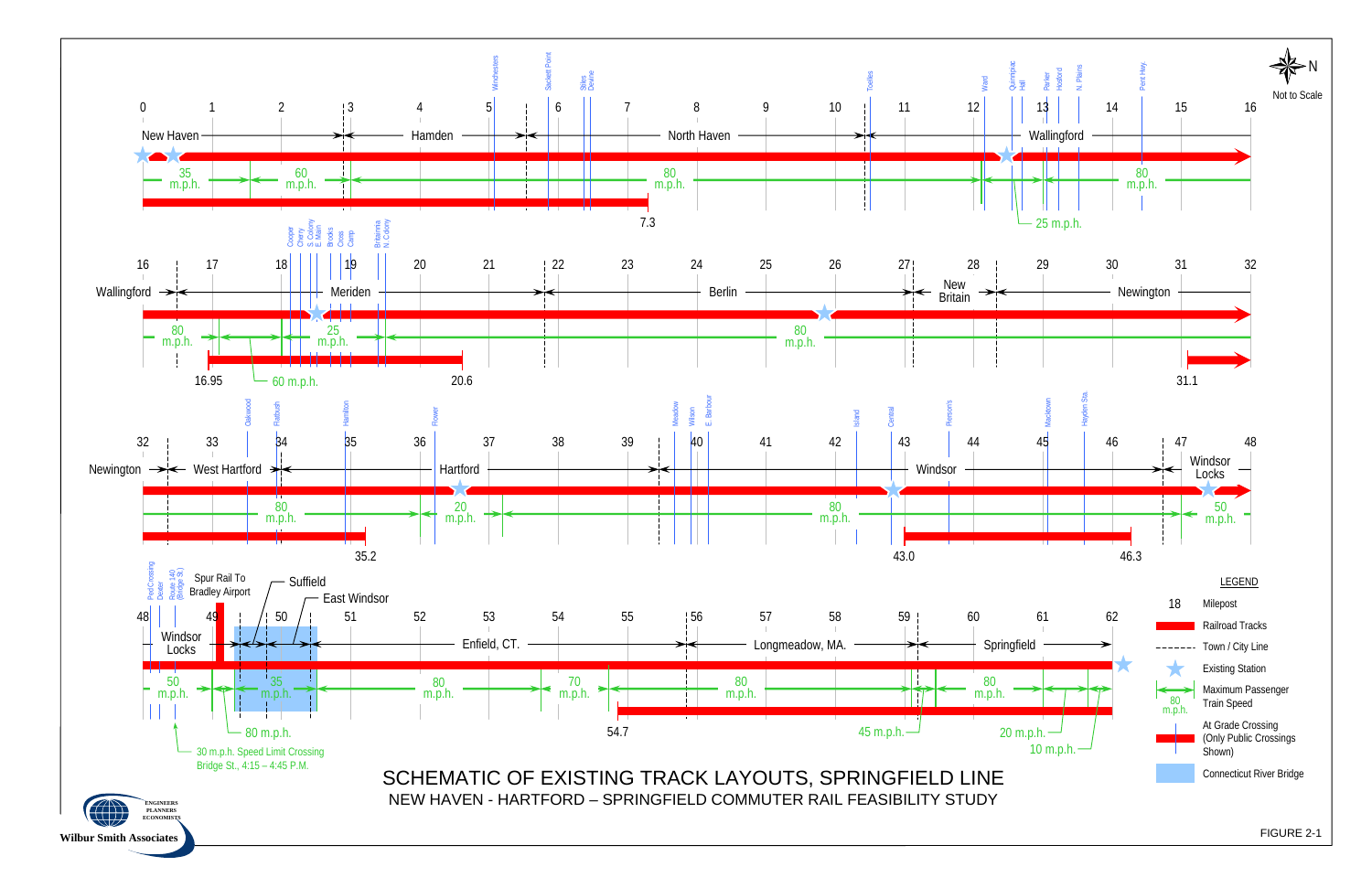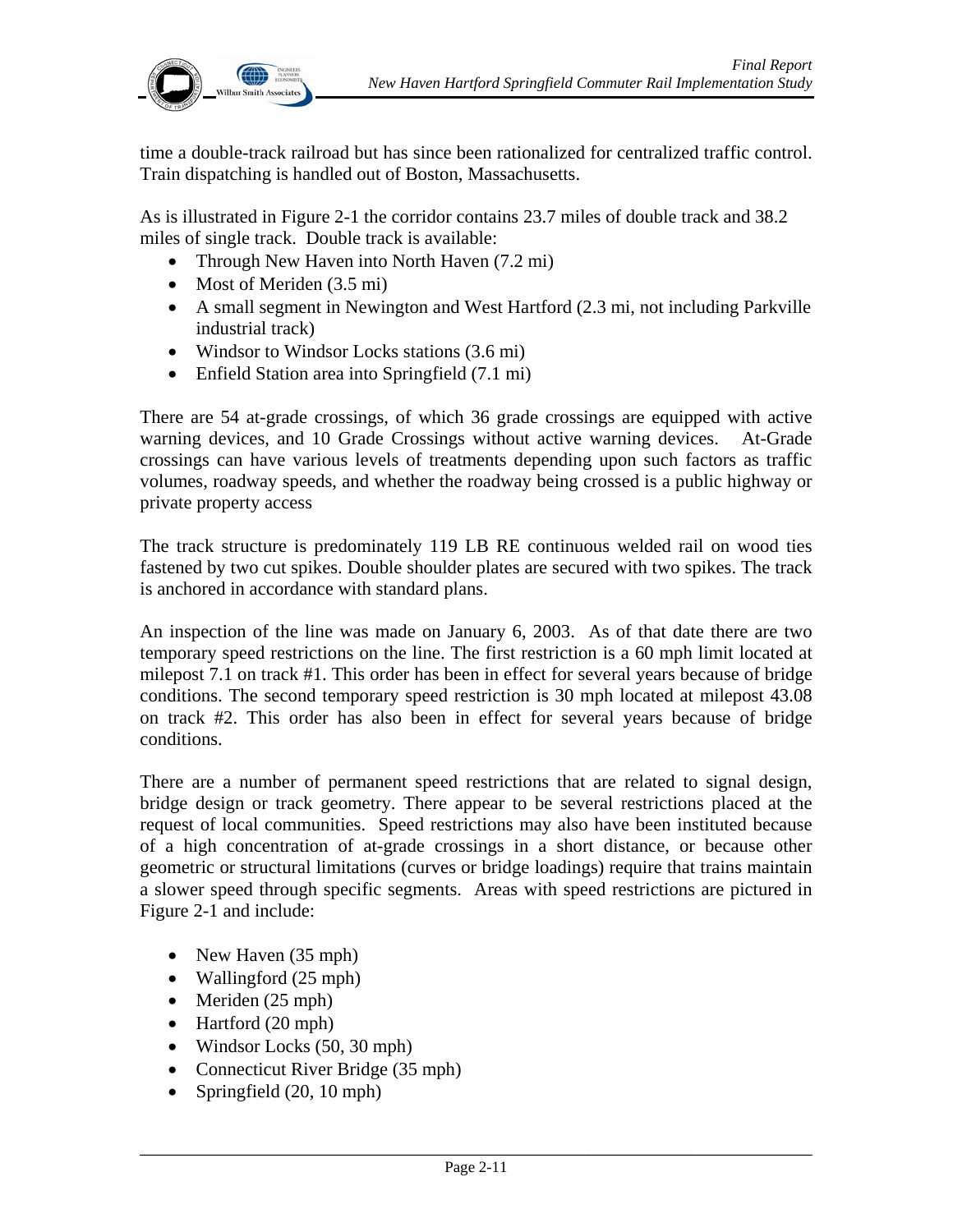

time a double-track railroad but has since been rationalized for centralized traffic control. Train dispatching is handled out of Boston, Massachusetts.

As is illustrated in Figure 2-1 the corridor contains 23.7 miles of double track and 38.2 miles of single track. Double track is available:

- Through New Haven into North Haven (7.2 mi)
- Most of Meriden (3.5 mi)
- A small segment in Newington and West Hartford (2.3 mi, not including Parkville industrial track)
- Windsor to Windsor Locks stations (3.6 mi)
- Enfield Station area into Springfield (7.1 mi)

There are 54 at-grade crossings, of which 36 grade crossings are equipped with active warning devices, and 10 Grade Crossings without active warning devices. At-Grade crossings can have various levels of treatments depending upon such factors as traffic volumes, roadway speeds, and whether the roadway being crossed is a public highway or private property access

The track structure is predominately 119 LB RE continuous welded rail on wood ties fastened by two cut spikes. Double shoulder plates are secured with two spikes. The track is anchored in accordance with standard plans.

An inspection of the line was made on January 6, 2003. As of that date there are two temporary speed restrictions on the line. The first restriction is a 60 mph limit located at milepost 7.1 on track #1. This order has been in effect for several years because of bridge conditions. The second temporary speed restriction is 30 mph located at milepost 43.08 on track #2. This order has also been in effect for several years because of bridge conditions.

There are a number of permanent speed restrictions that are related to signal design, bridge design or track geometry. There appear to be several restrictions placed at the request of local communities. Speed restrictions may also have been instituted because of a high concentration of at-grade crossings in a short distance, or because other geometric or structural limitations (curves or bridge loadings) require that trains maintain a slower speed through specific segments. Areas with speed restrictions are pictured in Figure 2-1 and include:

- New Haven (35 mph)
- Wallingford (25 mph)
- Meriden (25 mph)
- Hartford (20 mph)
- Windsor Locks (50, 30 mph)
- Connecticut River Bridge (35 mph)
- Springfield (20, 10 mph)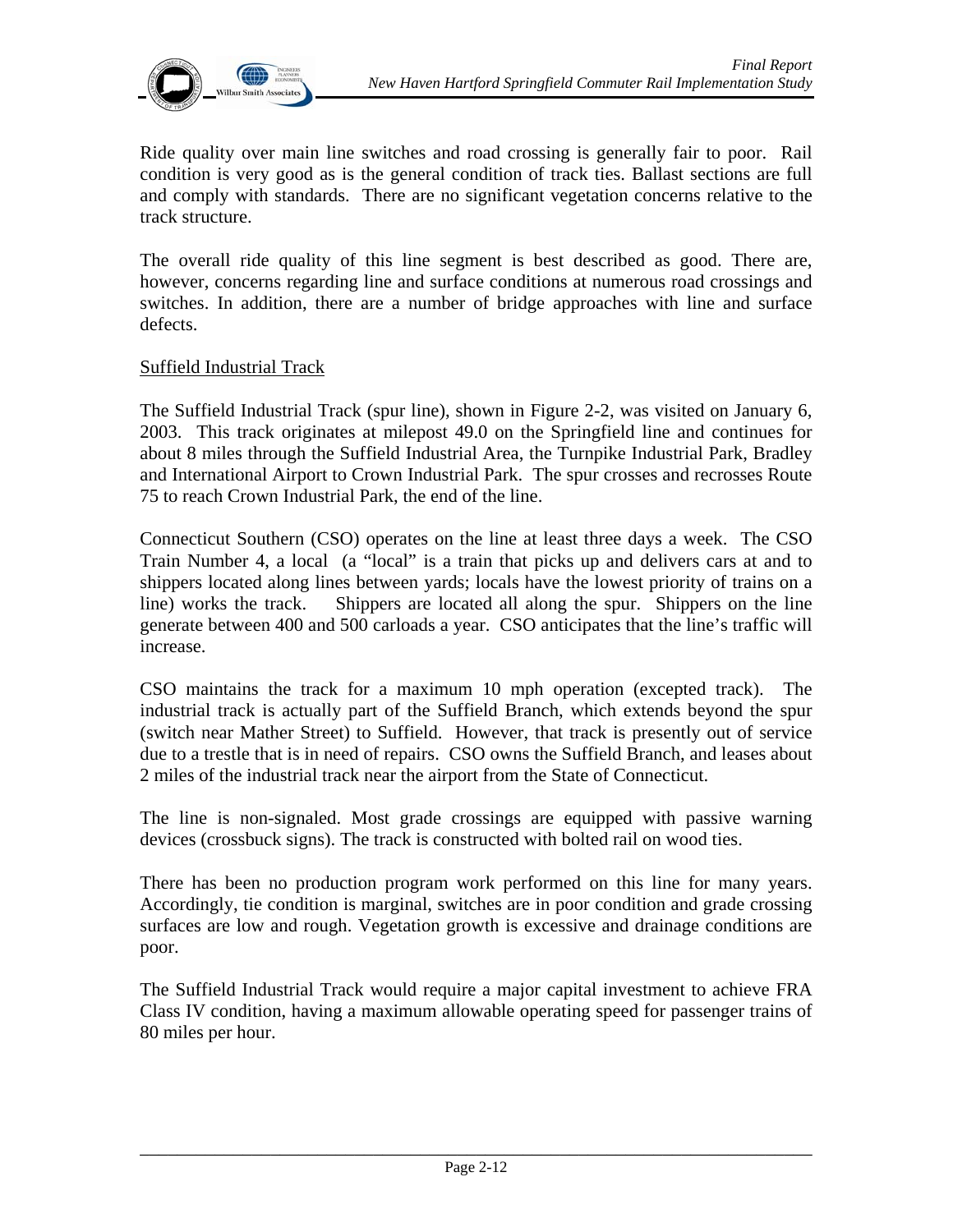

Ride quality over main line switches and road crossing is generally fair to poor. Rail condition is very good as is the general condition of track ties. Ballast sections are full and comply with standards. There are no significant vegetation concerns relative to the track structure.

The overall ride quality of this line segment is best described as good. There are, however, concerns regarding line and surface conditions at numerous road crossings and switches. In addition, there are a number of bridge approaches with line and surface defects.

#### Suffield Industrial Track

The Suffield Industrial Track (spur line), shown in Figure 2-2, was visited on January 6, 2003. This track originates at milepost 49.0 on the Springfield line and continues for about 8 miles through the Suffield Industrial Area, the Turnpike Industrial Park, Bradley and International Airport to Crown Industrial Park. The spur crosses and recrosses Route 75 to reach Crown Industrial Park, the end of the line.

Connecticut Southern (CSO) operates on the line at least three days a week. The CSO Train Number 4, a local (a "local" is a train that picks up and delivers cars at and to shippers located along lines between yards; locals have the lowest priority of trains on a line) works the track. Shippers are located all along the spur. Shippers on the line generate between 400 and 500 carloads a year. CSO anticipates that the line's traffic will increase.

CSO maintains the track for a maximum 10 mph operation (excepted track). The industrial track is actually part of the Suffield Branch, which extends beyond the spur (switch near Mather Street) to Suffield. However, that track is presently out of service due to a trestle that is in need of repairs. CSO owns the Suffield Branch, and leases about 2 miles of the industrial track near the airport from the State of Connecticut.

The line is non-signaled. Most grade crossings are equipped with passive warning devices (crossbuck signs). The track is constructed with bolted rail on wood ties.

There has been no production program work performed on this line for many years. Accordingly, tie condition is marginal, switches are in poor condition and grade crossing surfaces are low and rough. Vegetation growth is excessive and drainage conditions are poor.

The Suffield Industrial Track would require a major capital investment to achieve FRA Class IV condition, having a maximum allowable operating speed for passenger trains of 80 miles per hour.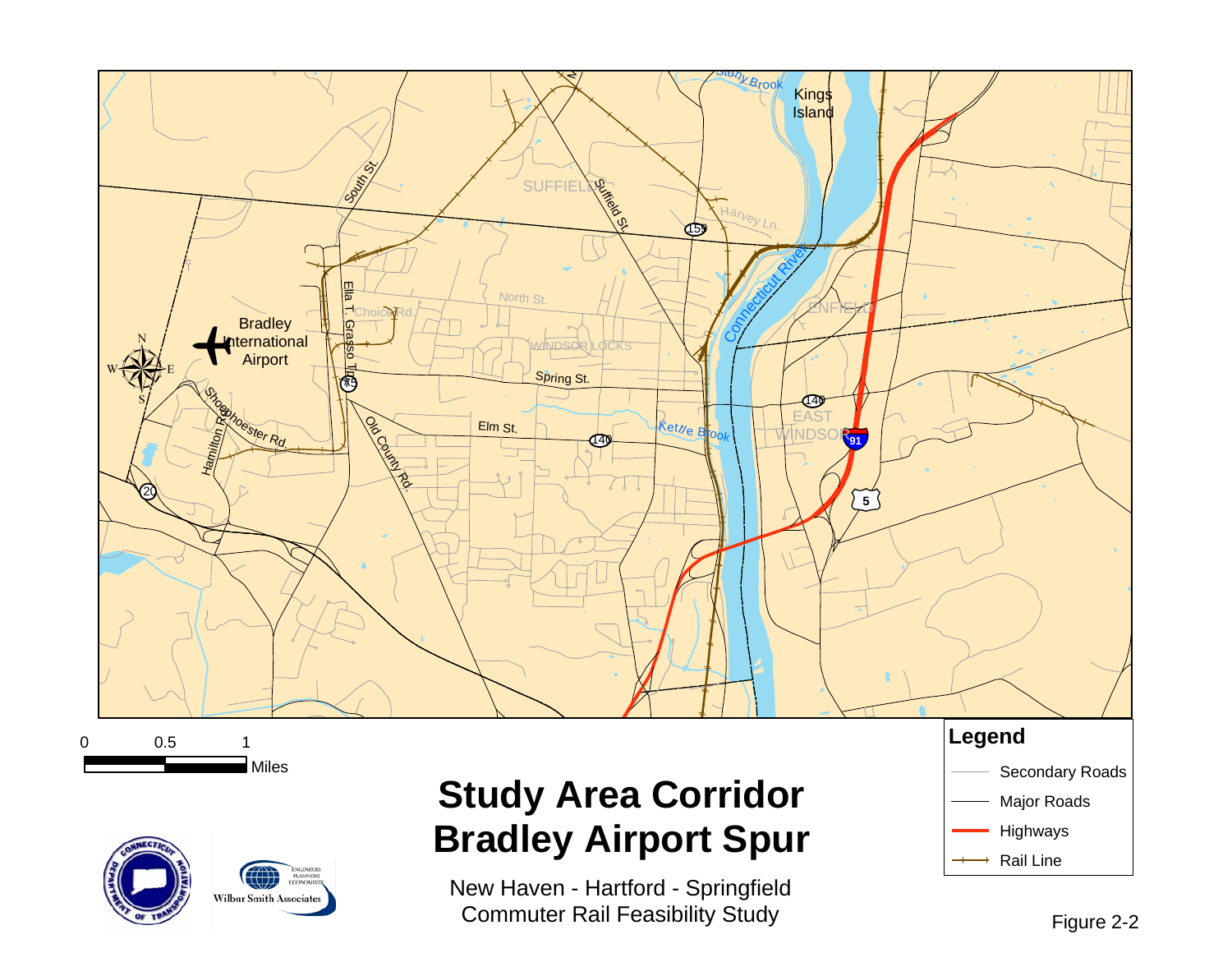

New Haven - Hartford - Springfield Commuter Rail Feasibility Study

**Wilbur Smith Associates**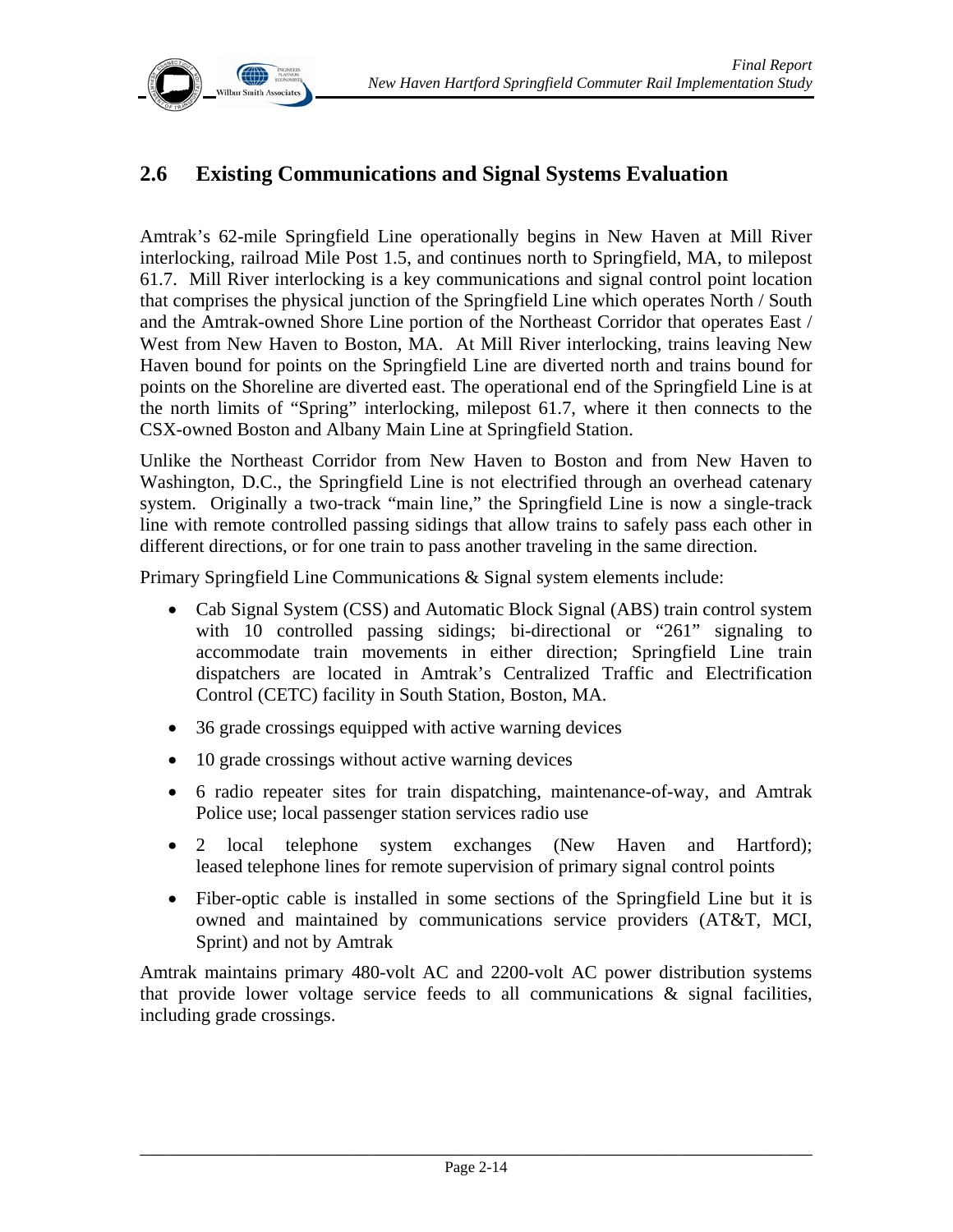

# **2.6 Existing Communications and Signal Systems Evaluation**

Amtrak's 62-mile Springfield Line operationally begins in New Haven at Mill River interlocking, railroad Mile Post 1.5, and continues north to Springfield, MA, to milepost 61.7. Mill River interlocking is a key communications and signal control point location that comprises the physical junction of the Springfield Line which operates North / South and the Amtrak-owned Shore Line portion of the Northeast Corridor that operates East / West from New Haven to Boston, MA. At Mill River interlocking, trains leaving New Haven bound for points on the Springfield Line are diverted north and trains bound for points on the Shoreline are diverted east. The operational end of the Springfield Line is at the north limits of "Spring" interlocking, milepost 61.7, where it then connects to the CSX-owned Boston and Albany Main Line at Springfield Station.

Unlike the Northeast Corridor from New Haven to Boston and from New Haven to Washington, D.C., the Springfield Line is not electrified through an overhead catenary system. Originally a two-track "main line," the Springfield Line is now a single-track line with remote controlled passing sidings that allow trains to safely pass each other in different directions, or for one train to pass another traveling in the same direction.

Primary Springfield Line Communications & Signal system elements include:

- Cab Signal System (CSS) and Automatic Block Signal (ABS) train control system with 10 controlled passing sidings; bi-directional or "261" signaling to accommodate train movements in either direction; Springfield Line train dispatchers are located in Amtrak's Centralized Traffic and Electrification Control (CETC) facility in South Station, Boston, MA.
- 36 grade crossings equipped with active warning devices
- 10 grade crossings without active warning devices
- 6 radio repeater sites for train dispatching, maintenance-of-way, and Amtrak Police use; local passenger station services radio use
- 2 local telephone system exchanges (New Haven and Hartford); leased telephone lines for remote supervision of primary signal control points
- Fiber-optic cable is installed in some sections of the Springfield Line but it is owned and maintained by communications service providers (AT&T, MCI, Sprint) and not by Amtrak

Amtrak maintains primary 480-volt AC and 2200-volt AC power distribution systems that provide lower voltage service feeds to all communications  $\&$  signal facilities, including grade crossings.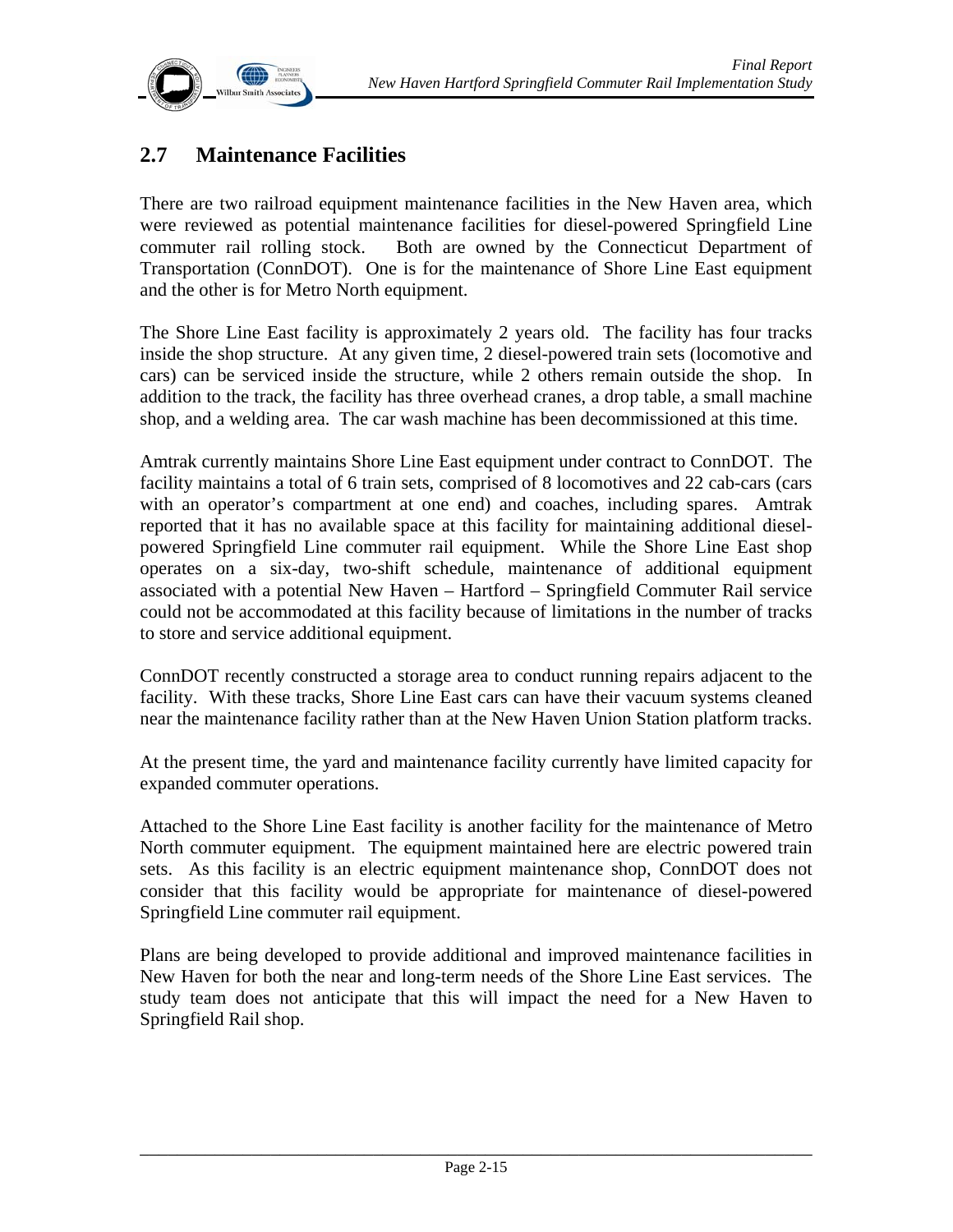

# **2.7 Maintenance Facilities**

There are two railroad equipment maintenance facilities in the New Haven area, which were reviewed as potential maintenance facilities for diesel-powered Springfield Line commuter rail rolling stock. Both are owned by the Connecticut Department of Transportation (ConnDOT). One is for the maintenance of Shore Line East equipment and the other is for Metro North equipment.

The Shore Line East facility is approximately 2 years old. The facility has four tracks inside the shop structure. At any given time, 2 diesel-powered train sets (locomotive and cars) can be serviced inside the structure, while 2 others remain outside the shop. In addition to the track, the facility has three overhead cranes, a drop table, a small machine shop, and a welding area. The car wash machine has been decommissioned at this time.

Amtrak currently maintains Shore Line East equipment under contract to ConnDOT. The facility maintains a total of 6 train sets, comprised of 8 locomotives and 22 cab-cars (cars with an operator's compartment at one end) and coaches, including spares. Amtrak reported that it has no available space at this facility for maintaining additional dieselpowered Springfield Line commuter rail equipment. While the Shore Line East shop operates on a six-day, two-shift schedule, maintenance of additional equipment associated with a potential New Haven – Hartford – Springfield Commuter Rail service could not be accommodated at this facility because of limitations in the number of tracks to store and service additional equipment.

ConnDOT recently constructed a storage area to conduct running repairs adjacent to the facility. With these tracks, Shore Line East cars can have their vacuum systems cleaned near the maintenance facility rather than at the New Haven Union Station platform tracks.

At the present time, the yard and maintenance facility currently have limited capacity for expanded commuter operations.

Attached to the Shore Line East facility is another facility for the maintenance of Metro North commuter equipment. The equipment maintained here are electric powered train sets. As this facility is an electric equipment maintenance shop, ConnDOT does not consider that this facility would be appropriate for maintenance of diesel-powered Springfield Line commuter rail equipment.

Plans are being developed to provide additional and improved maintenance facilities in New Haven for both the near and long-term needs of the Shore Line East services. The study team does not anticipate that this will impact the need for a New Haven to Springfield Rail shop.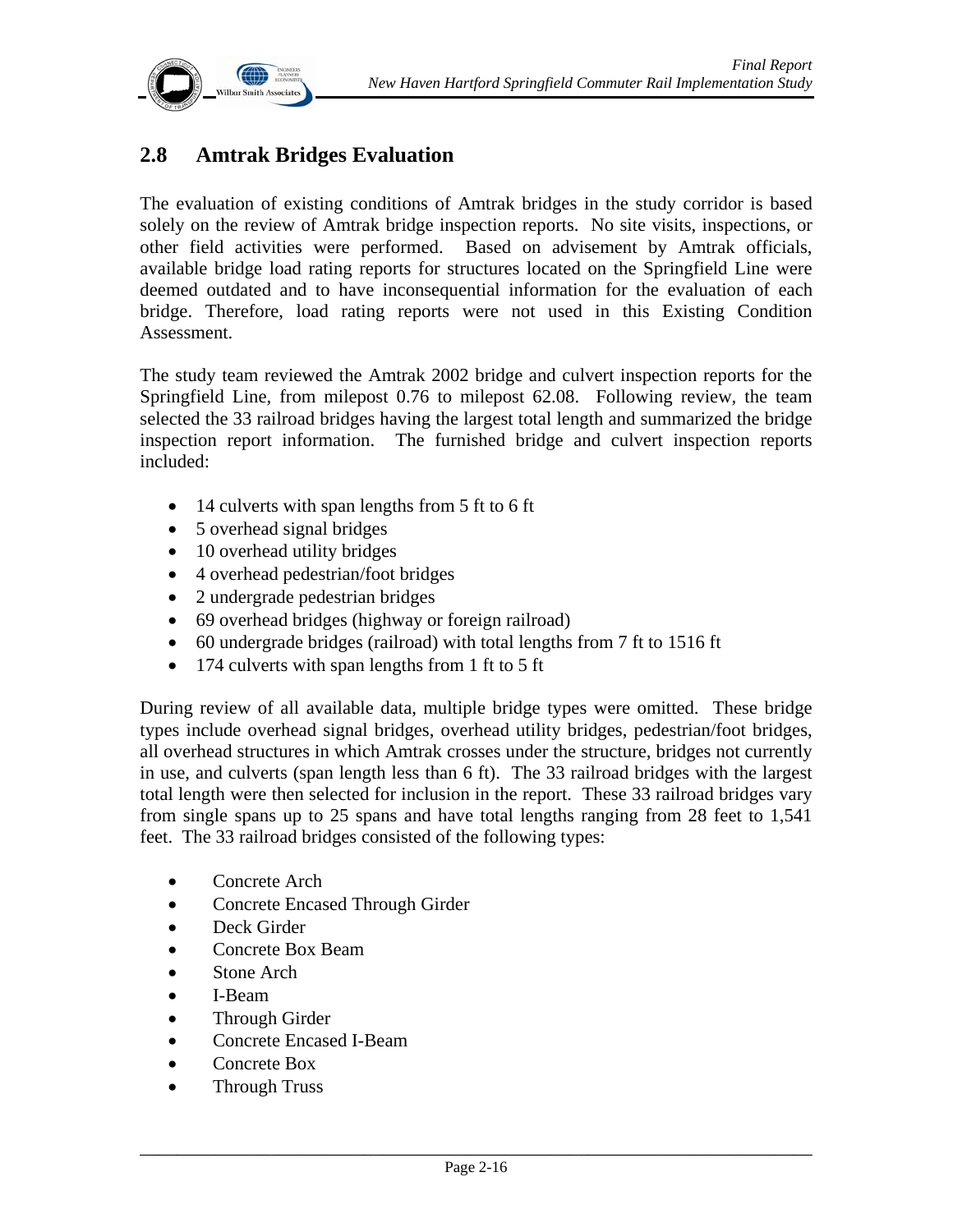

# **2.8 Amtrak Bridges Evaluation**

The evaluation of existing conditions of Amtrak bridges in the study corridor is based solely on the review of Amtrak bridge inspection reports. No site visits, inspections, or other field activities were performed. Based on advisement by Amtrak officials, available bridge load rating reports for structures located on the Springfield Line were deemed outdated and to have inconsequential information for the evaluation of each bridge. Therefore, load rating reports were not used in this Existing Condition Assessment.

The study team reviewed the Amtrak 2002 bridge and culvert inspection reports for the Springfield Line, from milepost 0.76 to milepost 62.08. Following review, the team selected the 33 railroad bridges having the largest total length and summarized the bridge inspection report information. The furnished bridge and culvert inspection reports included:

- 14 culverts with span lengths from 5 ft to 6 ft
- 5 overhead signal bridges
- 10 overhead utility bridges
- 4 overhead pedestrian/foot bridges
- 2 undergrade pedestrian bridges
- 69 overhead bridges (highway or foreign railroad)
- 60 undergrade bridges (railroad) with total lengths from 7 ft to 1516 ft
- 174 culverts with span lengths from 1 ft to 5 ft

During review of all available data, multiple bridge types were omitted. These bridge types include overhead signal bridges, overhead utility bridges, pedestrian/foot bridges, all overhead structures in which Amtrak crosses under the structure, bridges not currently in use, and culverts (span length less than 6 ft). The 33 railroad bridges with the largest total length were then selected for inclusion in the report. These 33 railroad bridges vary from single spans up to 25 spans and have total lengths ranging from 28 feet to 1,541 feet. The 33 railroad bridges consisted of the following types:

- Concrete Arch
- Concrete Encased Through Girder
- Deck Girder
- Concrete Box Beam
- Stone Arch
- I-Beam
- Through Girder
- Concrete Encased I-Beam
- Concrete Box
- Through Truss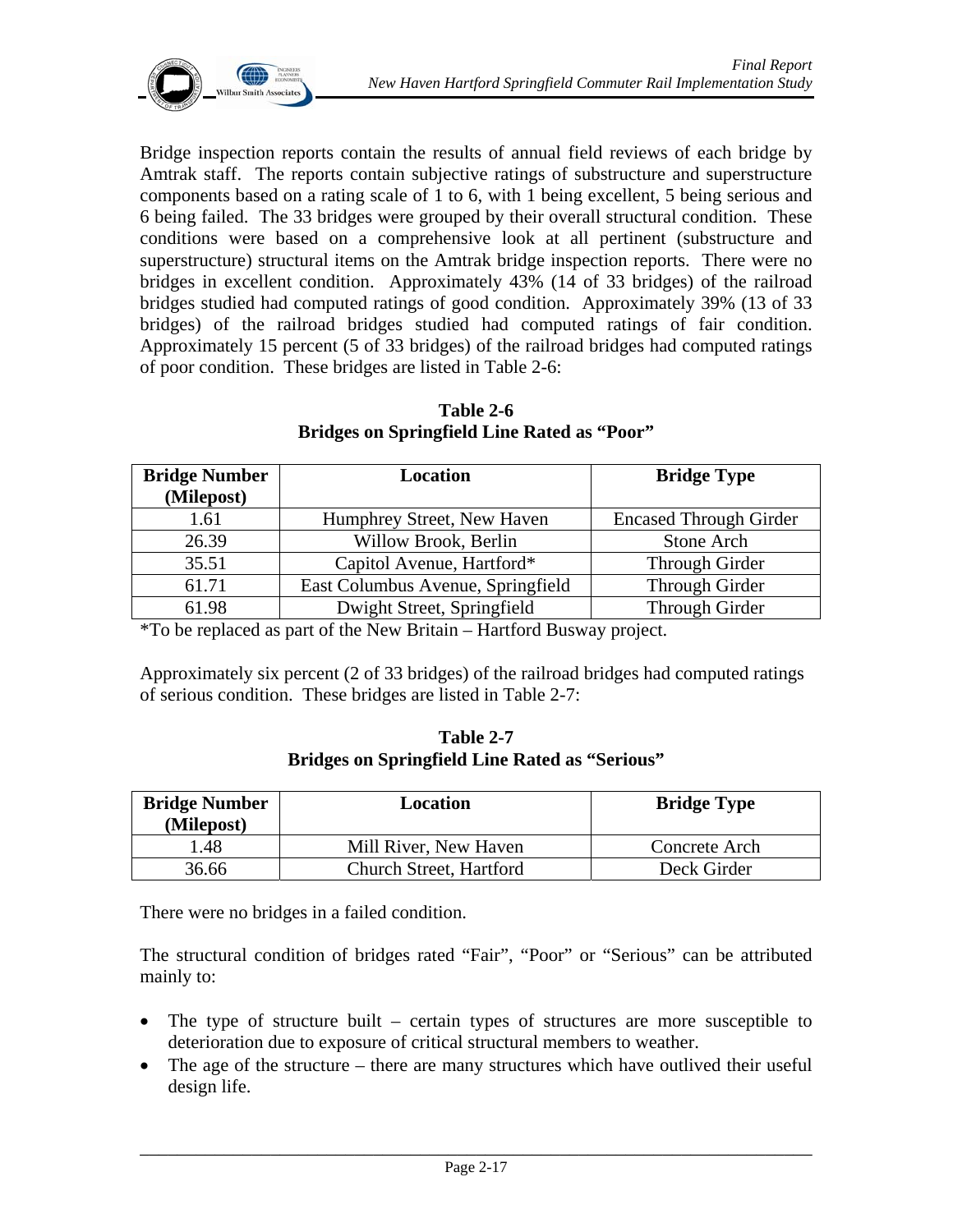

Bridge inspection reports contain the results of annual field reviews of each bridge by Amtrak staff. The reports contain subjective ratings of substructure and superstructure components based on a rating scale of 1 to 6, with 1 being excellent, 5 being serious and 6 being failed. The 33 bridges were grouped by their overall structural condition. These conditions were based on a comprehensive look at all pertinent (substructure and superstructure) structural items on the Amtrak bridge inspection reports. There were no bridges in excellent condition. Approximately 43% (14 of 33 bridges) of the railroad bridges studied had computed ratings of good condition. Approximately 39% (13 of 33 bridges) of the railroad bridges studied had computed ratings of fair condition. Approximately 15 percent (5 of 33 bridges) of the railroad bridges had computed ratings of poor condition. These bridges are listed in Table 2-6:

**Table 2-6 Bridges on Springfield Line Rated as "Poor"** 

| <b>Bridge Number</b> | Location                          | <b>Bridge Type</b>            |
|----------------------|-----------------------------------|-------------------------------|
| (Milepost)           |                                   |                               |
| 1.61                 | Humphrey Street, New Haven        | <b>Encased Through Girder</b> |
| 26.39                | Willow Brook, Berlin              | Stone Arch                    |
| 35.51                | Capitol Avenue, Hartford*         | Through Girder                |
| 61.71                | East Columbus Avenue, Springfield | Through Girder                |
| 61.98                | Dwight Street, Springfield        | Through Girder                |

\*To be replaced as part of the New Britain – Hartford Busway project.

Approximately six percent (2 of 33 bridges) of the railroad bridges had computed ratings of serious condition. These bridges are listed in Table 2-7:

**Table 2-7 Bridges on Springfield Line Rated as "Serious"** 

| <b>Bridge Number</b><br>(Milepost) | Location                | <b>Bridge Type</b> |
|------------------------------------|-------------------------|--------------------|
| .48                                | Mill River, New Haven   | Concrete Arch      |
| 36.66                              | Church Street, Hartford | Deck Girder        |

There were no bridges in a failed condition.

The structural condition of bridges rated "Fair", "Poor" or "Serious" can be attributed mainly to:

- The type of structure built certain types of structures are more susceptible to deterioration due to exposure of critical structural members to weather.
- The age of the structure there are many structures which have outlived their useful design life.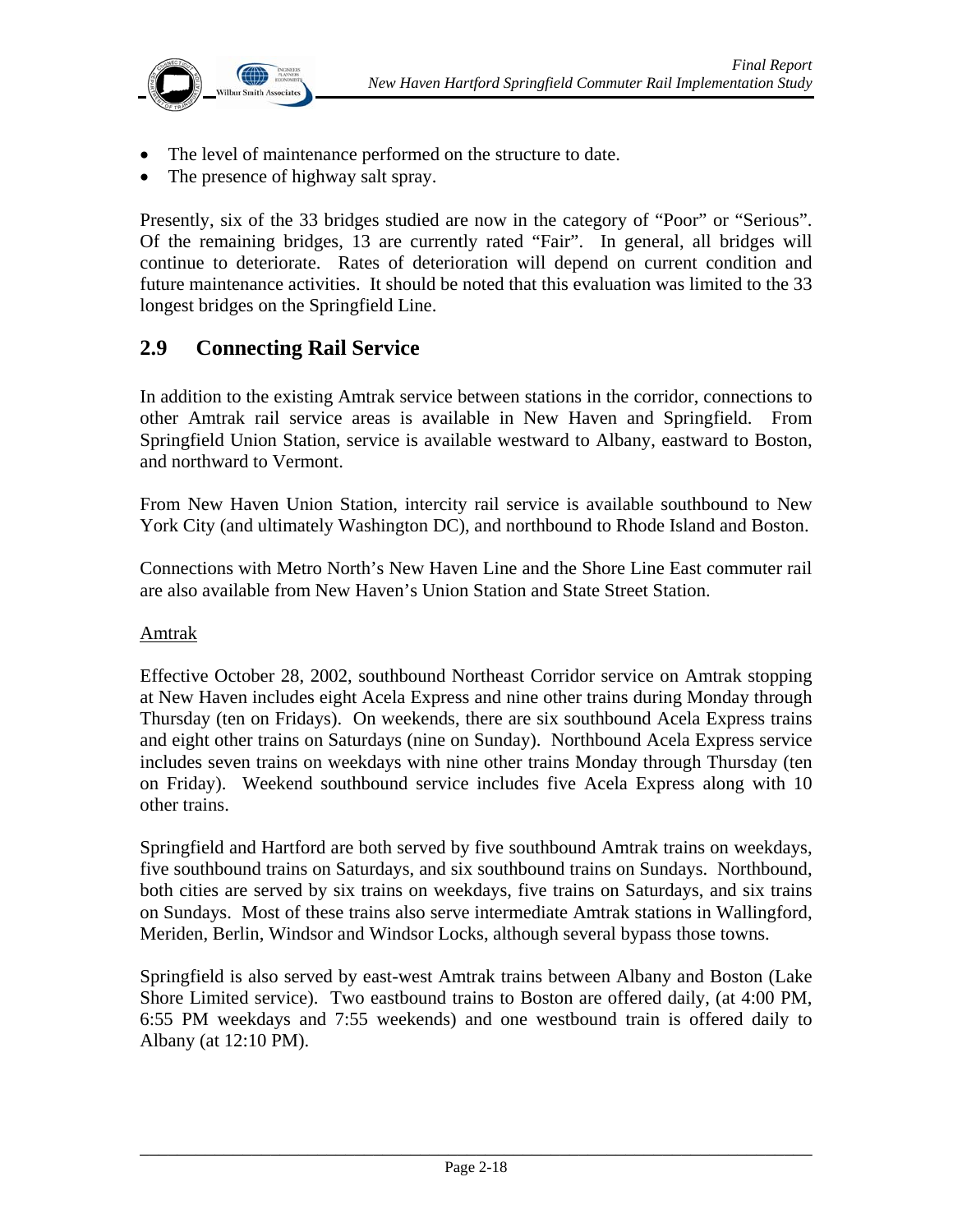

- The level of maintenance performed on the structure to date.
- The presence of highway salt spray.

Presently, six of the 33 bridges studied are now in the category of "Poor" or "Serious". Of the remaining bridges, 13 are currently rated "Fair". In general, all bridges will continue to deteriorate. Rates of deterioration will depend on current condition and future maintenance activities. It should be noted that this evaluation was limited to the 33 longest bridges on the Springfield Line.

## **2.9 Connecting Rail Service**

In addition to the existing Amtrak service between stations in the corridor, connections to other Amtrak rail service areas is available in New Haven and Springfield. From Springfield Union Station, service is available westward to Albany, eastward to Boston, and northward to Vermont.

From New Haven Union Station, intercity rail service is available southbound to New York City (and ultimately Washington DC), and northbound to Rhode Island and Boston.

Connections with Metro North's New Haven Line and the Shore Line East commuter rail are also available from New Haven's Union Station and State Street Station.

#### Amtrak

Effective October 28, 2002, southbound Northeast Corridor service on Amtrak stopping at New Haven includes eight Acela Express and nine other trains during Monday through Thursday (ten on Fridays). On weekends, there are six southbound Acela Express trains and eight other trains on Saturdays (nine on Sunday). Northbound Acela Express service includes seven trains on weekdays with nine other trains Monday through Thursday (ten on Friday). Weekend southbound service includes five Acela Express along with 10 other trains.

Springfield and Hartford are both served by five southbound Amtrak trains on weekdays, five southbound trains on Saturdays, and six southbound trains on Sundays. Northbound, both cities are served by six trains on weekdays, five trains on Saturdays, and six trains on Sundays. Most of these trains also serve intermediate Amtrak stations in Wallingford, Meriden, Berlin, Windsor and Windsor Locks, although several bypass those towns.

Springfield is also served by east-west Amtrak trains between Albany and Boston (Lake Shore Limited service). Two eastbound trains to Boston are offered daily, (at 4:00 PM, 6:55 PM weekdays and 7:55 weekends) and one westbound train is offered daily to Albany (at 12:10 PM).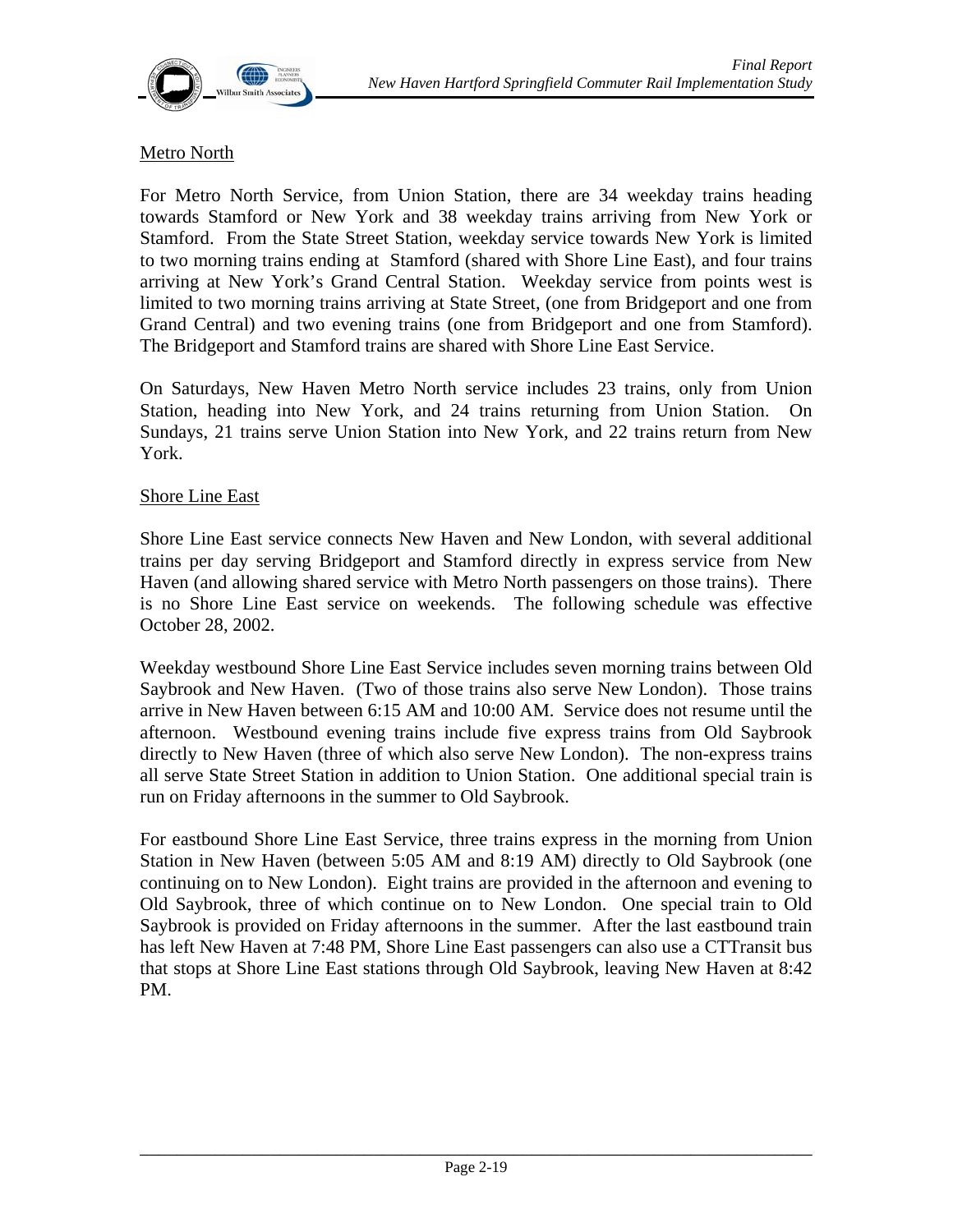

#### Metro North

For Metro North Service, from Union Station, there are 34 weekday trains heading towards Stamford or New York and 38 weekday trains arriving from New York or Stamford. From the State Street Station, weekday service towards New York is limited to two morning trains ending at Stamford (shared with Shore Line East), and four trains arriving at New York's Grand Central Station. Weekday service from points west is limited to two morning trains arriving at State Street, (one from Bridgeport and one from Grand Central) and two evening trains (one from Bridgeport and one from Stamford). The Bridgeport and Stamford trains are shared with Shore Line East Service.

On Saturdays, New Haven Metro North service includes 23 trains, only from Union Station, heading into New York, and 24 trains returning from Union Station. On Sundays, 21 trains serve Union Station into New York, and 22 trains return from New York.

#### Shore Line East

Shore Line East service connects New Haven and New London, with several additional trains per day serving Bridgeport and Stamford directly in express service from New Haven (and allowing shared service with Metro North passengers on those trains). There is no Shore Line East service on weekends. The following schedule was effective October 28, 2002.

Weekday westbound Shore Line East Service includes seven morning trains between Old Saybrook and New Haven. (Two of those trains also serve New London). Those trains arrive in New Haven between 6:15 AM and 10:00 AM. Service does not resume until the afternoon. Westbound evening trains include five express trains from Old Saybrook directly to New Haven (three of which also serve New London). The non-express trains all serve State Street Station in addition to Union Station. One additional special train is run on Friday afternoons in the summer to Old Saybrook.

For eastbound Shore Line East Service, three trains express in the morning from Union Station in New Haven (between 5:05 AM and 8:19 AM) directly to Old Saybrook (one continuing on to New London). Eight trains are provided in the afternoon and evening to Old Saybrook, three of which continue on to New London. One special train to Old Saybrook is provided on Friday afternoons in the summer. After the last eastbound train has left New Haven at 7:48 PM, Shore Line East passengers can also use a CTTransit bus that stops at Shore Line East stations through Old Saybrook, leaving New Haven at 8:42 PM.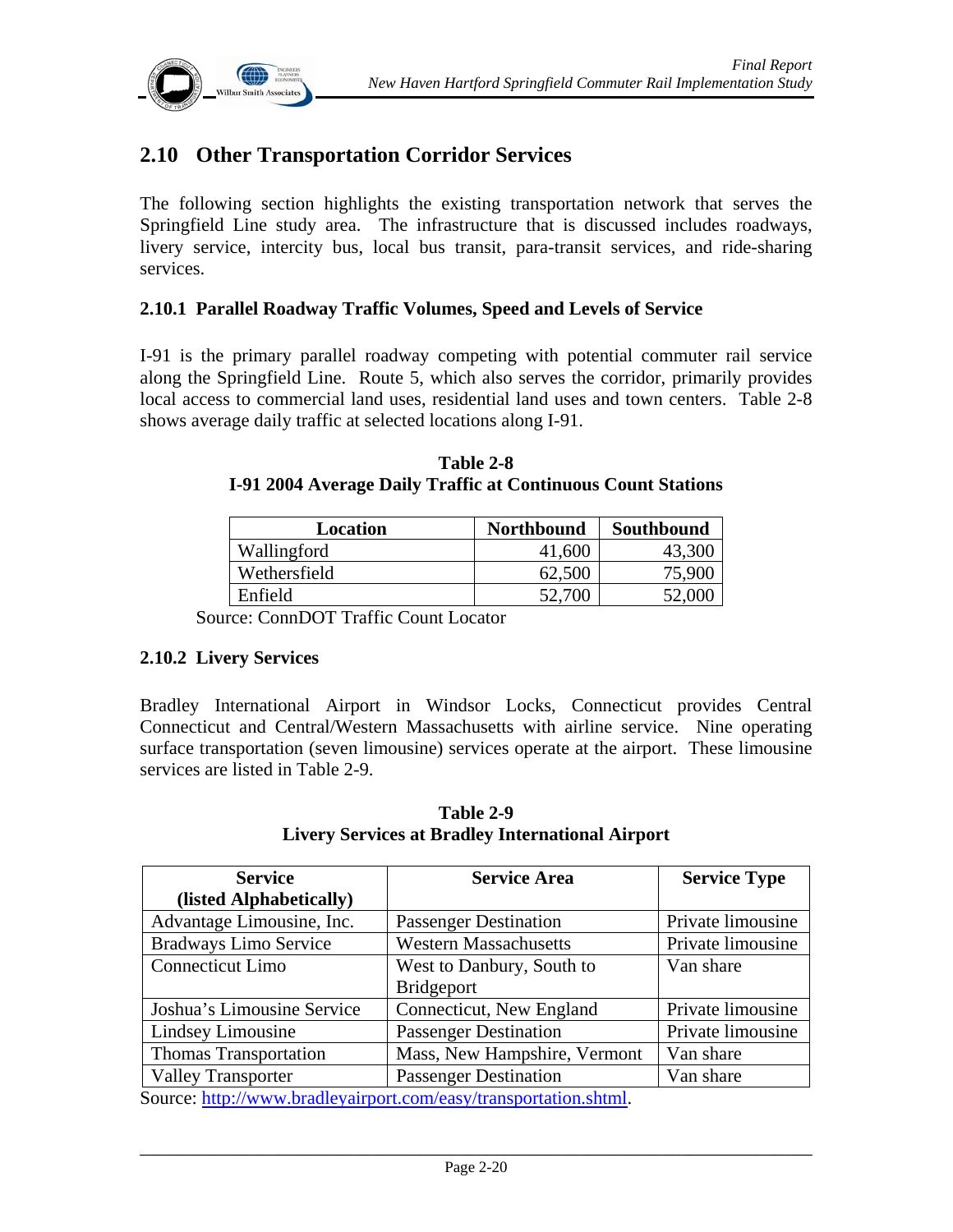

# **2.10 Other Transportation Corridor Services**

The following section highlights the existing transportation network that serves the Springfield Line study area. The infrastructure that is discussed includes roadways, livery service, intercity bus, local bus transit, para-transit services, and ride-sharing services.

#### **2.10.1 Parallel Roadway Traffic Volumes, Speed and Levels of Service**

I-91 is the primary parallel roadway competing with potential commuter rail service along the Springfield Line. Route 5, which also serves the corridor, primarily provides local access to commercial land uses, residential land uses and town centers. Table 2-8 shows average daily traffic at selected locations along I-91.

| Location     | <b>Northbound</b> | Southbound |
|--------------|-------------------|------------|
| Wallingford  | 41,600            | 43,300     |
| Wethersfield | 62,500            | 75,900     |
| Enfield      |                   |            |

**Table 2-8 I-91 2004 Average Daily Traffic at Continuous Count Stations** 

Source: ConnDOT Traffic Count Locator

#### **2.10.2 Livery Services**

Bradley International Airport in Windsor Locks, Connecticut provides Central Connecticut and Central/Western Massachusetts with airline service. Nine operating surface transportation (seven limousine) services operate at the airport. These limousine services are listed in Table 2-9.

| <b>Service</b>               | <b>Service Area</b>                                              | <b>Service Type</b> |
|------------------------------|------------------------------------------------------------------|---------------------|
| (listed Alphabetically)      |                                                                  |                     |
| Advantage Limousine, Inc.    | <b>Passenger Destination</b>                                     | Private limousine   |
| <b>Bradways Limo Service</b> | <b>Western Massachusetts</b>                                     | Private limousine   |
| Connecticut Limo             | West to Danbury, South to                                        | Van share           |
|                              | <b>Bridgeport</b>                                                |                     |
| Joshua's Limousine Service   | Connecticut, New England                                         | Private limousine   |
| Lindsey Limousine            | <b>Passenger Destination</b>                                     | Private limousine   |
| <b>Thomas Transportation</b> | Mass, New Hampshire, Vermont                                     | Van share           |
| <b>Valley Transporter</b>    | <b>Passenger Destination</b>                                     | Van share           |
|                              | Source: http://www.bradleyairport.com/easy/transportation.shtml. |                     |

**Table 2-9 Livery Services at Bradley International Airport**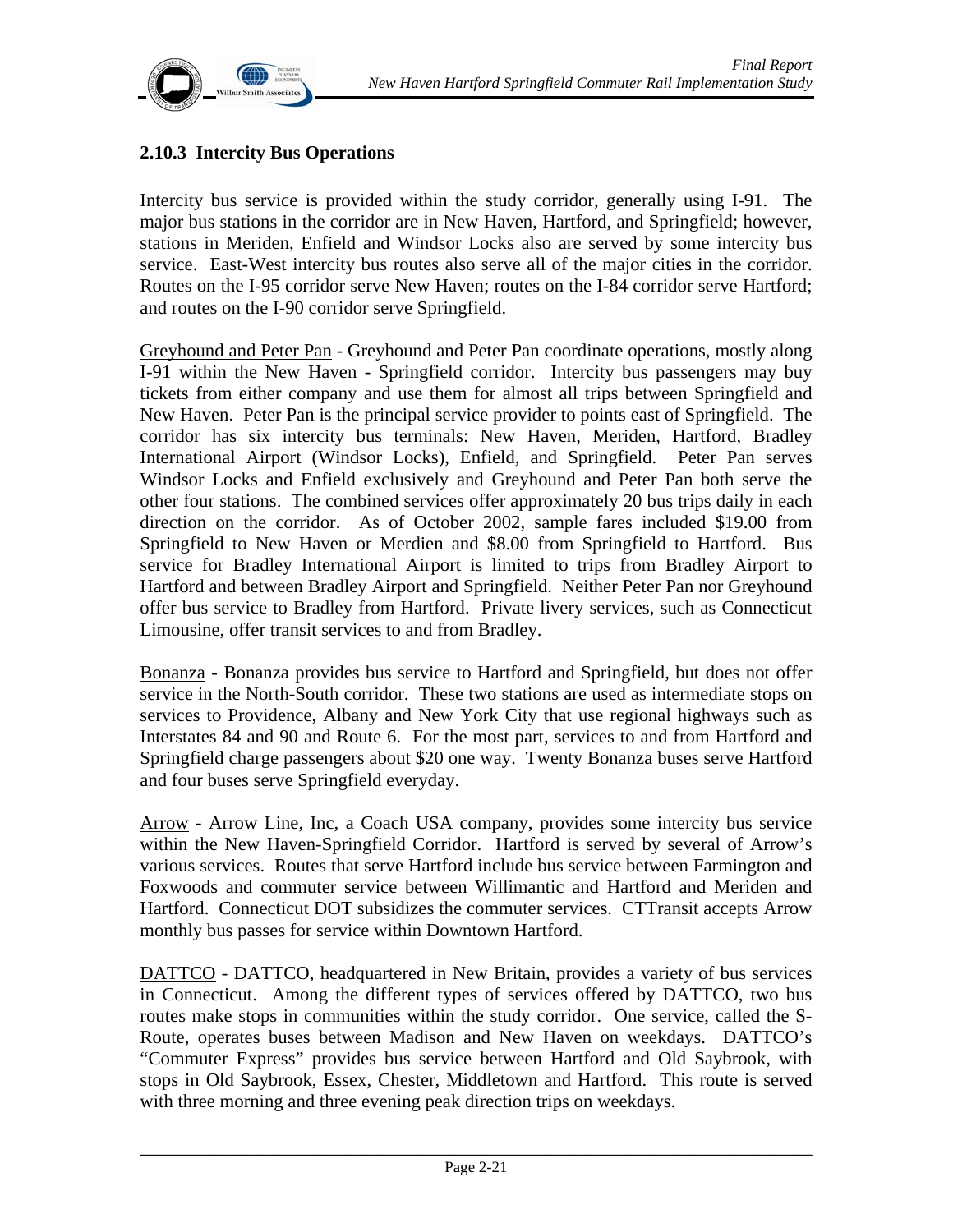

#### **2.10.3 Intercity Bus Operations**

Intercity bus service is provided within the study corridor, generally using I-91. The major bus stations in the corridor are in New Haven, Hartford, and Springfield; however, stations in Meriden, Enfield and Windsor Locks also are served by some intercity bus service. East-West intercity bus routes also serve all of the major cities in the corridor. Routes on the I-95 corridor serve New Haven; routes on the I-84 corridor serve Hartford; and routes on the I-90 corridor serve Springfield.

Greyhound and Peter Pan - Greyhound and Peter Pan coordinate operations, mostly along I-91 within the New Haven - Springfield corridor. Intercity bus passengers may buy tickets from either company and use them for almost all trips between Springfield and New Haven. Peter Pan is the principal service provider to points east of Springfield. The corridor has six intercity bus terminals: New Haven, Meriden, Hartford, Bradley International Airport (Windsor Locks), Enfield, and Springfield. Peter Pan serves Windsor Locks and Enfield exclusively and Greyhound and Peter Pan both serve the other four stations. The combined services offer approximately 20 bus trips daily in each direction on the corridor. As of October 2002, sample fares included \$19.00 from Springfield to New Haven or Merdien and \$8.00 from Springfield to Hartford. Bus service for Bradley International Airport is limited to trips from Bradley Airport to Hartford and between Bradley Airport and Springfield. Neither Peter Pan nor Greyhound offer bus service to Bradley from Hartford. Private livery services, such as Connecticut Limousine, offer transit services to and from Bradley.

Bonanza - Bonanza provides bus service to Hartford and Springfield, but does not offer service in the North-South corridor. These two stations are used as intermediate stops on services to Providence, Albany and New York City that use regional highways such as Interstates 84 and 90 and Route 6. For the most part, services to and from Hartford and Springfield charge passengers about \$20 one way. Twenty Bonanza buses serve Hartford and four buses serve Springfield everyday.

Arrow - Arrow Line, Inc, a Coach USA company, provides some intercity bus service within the New Haven-Springfield Corridor. Hartford is served by several of Arrow's various services. Routes that serve Hartford include bus service between Farmington and Foxwoods and commuter service between Willimantic and Hartford and Meriden and Hartford. Connecticut DOT subsidizes the commuter services. CTTransit accepts Arrow monthly bus passes for service within Downtown Hartford.

DATTCO - DATTCO, headquartered in New Britain, provides a variety of bus services in Connecticut. Among the different types of services offered by DATTCO, two bus routes make stops in communities within the study corridor. One service, called the S-Route, operates buses between Madison and New Haven on weekdays. DATTCO's "Commuter Express" provides bus service between Hartford and Old Saybrook, with stops in Old Saybrook, Essex, Chester, Middletown and Hartford. This route is served with three morning and three evening peak direction trips on weekdays.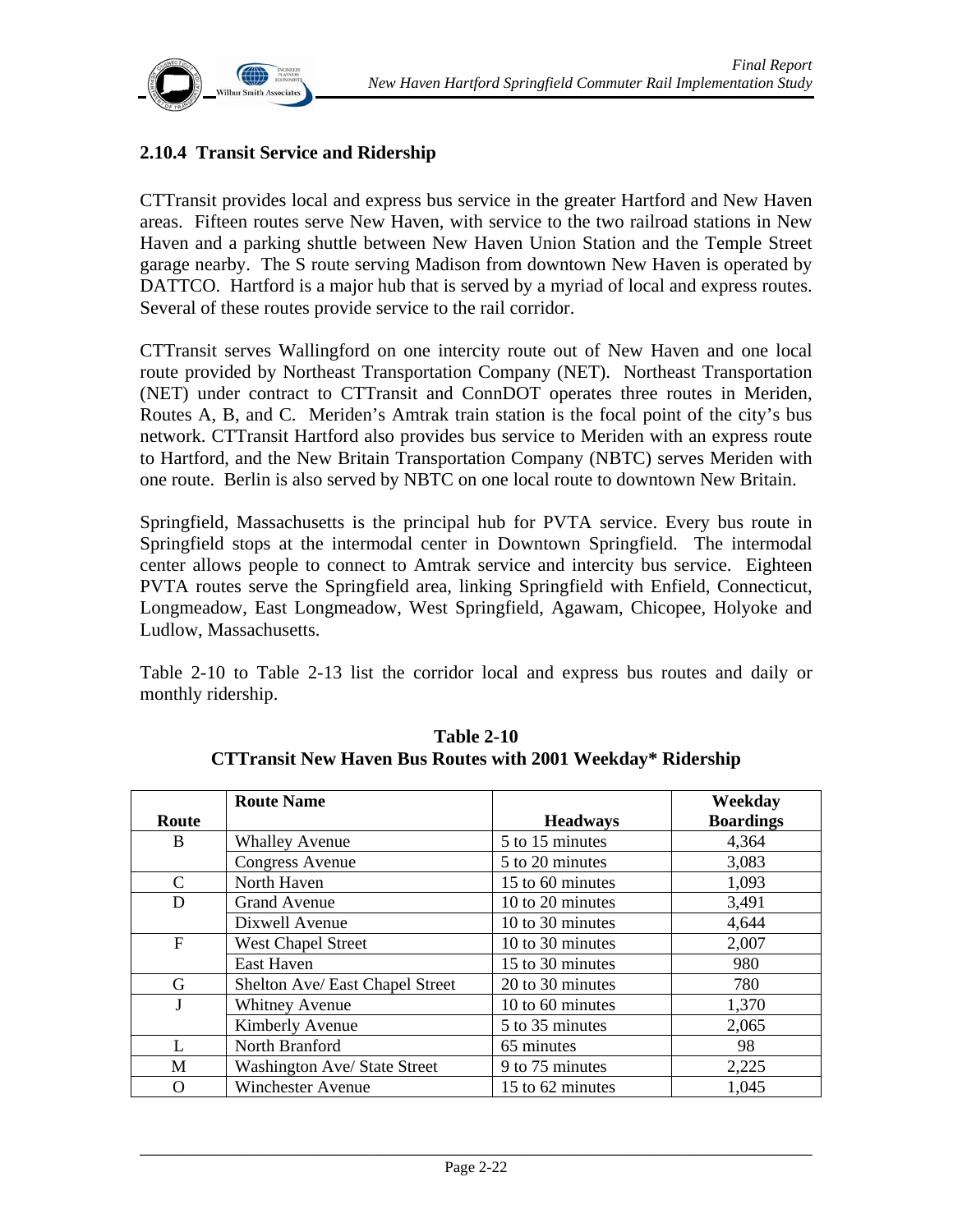

#### **2.10.4 Transit Service and Ridership**

CTTransit provides local and express bus service in the greater Hartford and New Haven areas. Fifteen routes serve New Haven, with service to the two railroad stations in New Haven and a parking shuttle between New Haven Union Station and the Temple Street garage nearby. The S route serving Madison from downtown New Haven is operated by DATTCO. Hartford is a major hub that is served by a myriad of local and express routes. Several of these routes provide service to the rail corridor.

CTTransit serves Wallingford on one intercity route out of New Haven and one local route provided by Northeast Transportation Company (NET). Northeast Transportation (NET) under contract to CTTransit and ConnDOT operates three routes in Meriden, Routes A, B, and C. Meriden's Amtrak train station is the focal point of the city's bus network. CTTransit Hartford also provides bus service to Meriden with an express route to Hartford, and the New Britain Transportation Company (NBTC) serves Meriden with one route. Berlin is also served by NBTC on one local route to downtown New Britain.

Springfield, Massachusetts is the principal hub for PVTA service. Every bus route in Springfield stops at the intermodal center in Downtown Springfield. The intermodal center allows people to connect to Amtrak service and intercity bus service. Eighteen PVTA routes serve the Springfield area, linking Springfield with Enfield, Connecticut, Longmeadow, East Longmeadow, West Springfield, Agawam, Chicopee, Holyoke and Ludlow, Massachusetts.

Table 2-10 to Table 2-13 list the corridor local and express bus routes and daily or monthly ridership.

|                | <b>Route Name</b>               |                  | Weekday          |
|----------------|---------------------------------|------------------|------------------|
| Route          |                                 | <b>Headways</b>  | <b>Boardings</b> |
| B              | <b>Whalley Avenue</b>           | 5 to 15 minutes  | 4,364            |
|                | <b>Congress Avenue</b>          | 5 to 20 minutes  | 3,083            |
| $\mathcal{C}$  | North Haven                     | 15 to 60 minutes | 1,093            |
| D              | <b>Grand Avenue</b>             | 10 to 20 minutes | 3,491            |
|                | Dixwell Avenue                  | 10 to 30 minutes | 4,644            |
| $\mathbf{F}$   | <b>West Chapel Street</b>       | 10 to 30 minutes | 2,007            |
|                | East Haven                      | 15 to 30 minutes | 980              |
| G              | Shelton Ave/ East Chapel Street | 20 to 30 minutes | 780              |
|                | <b>Whitney Avenue</b>           | 10 to 60 minutes | 1,370            |
|                | Kimberly Avenue                 | 5 to 35 minutes  | 2,065            |
| $\mathbf{I}$ . | North Branford                  | 65 minutes       | 98               |
| M              | Washington Ave/ State Street    | 9 to 75 minutes  | 2,225            |
|                | <b>Winchester Avenue</b>        | 15 to 62 minutes | 1,045            |

**Table 2-10 CTTransit New Haven Bus Routes with 2001 Weekday\* Ridership**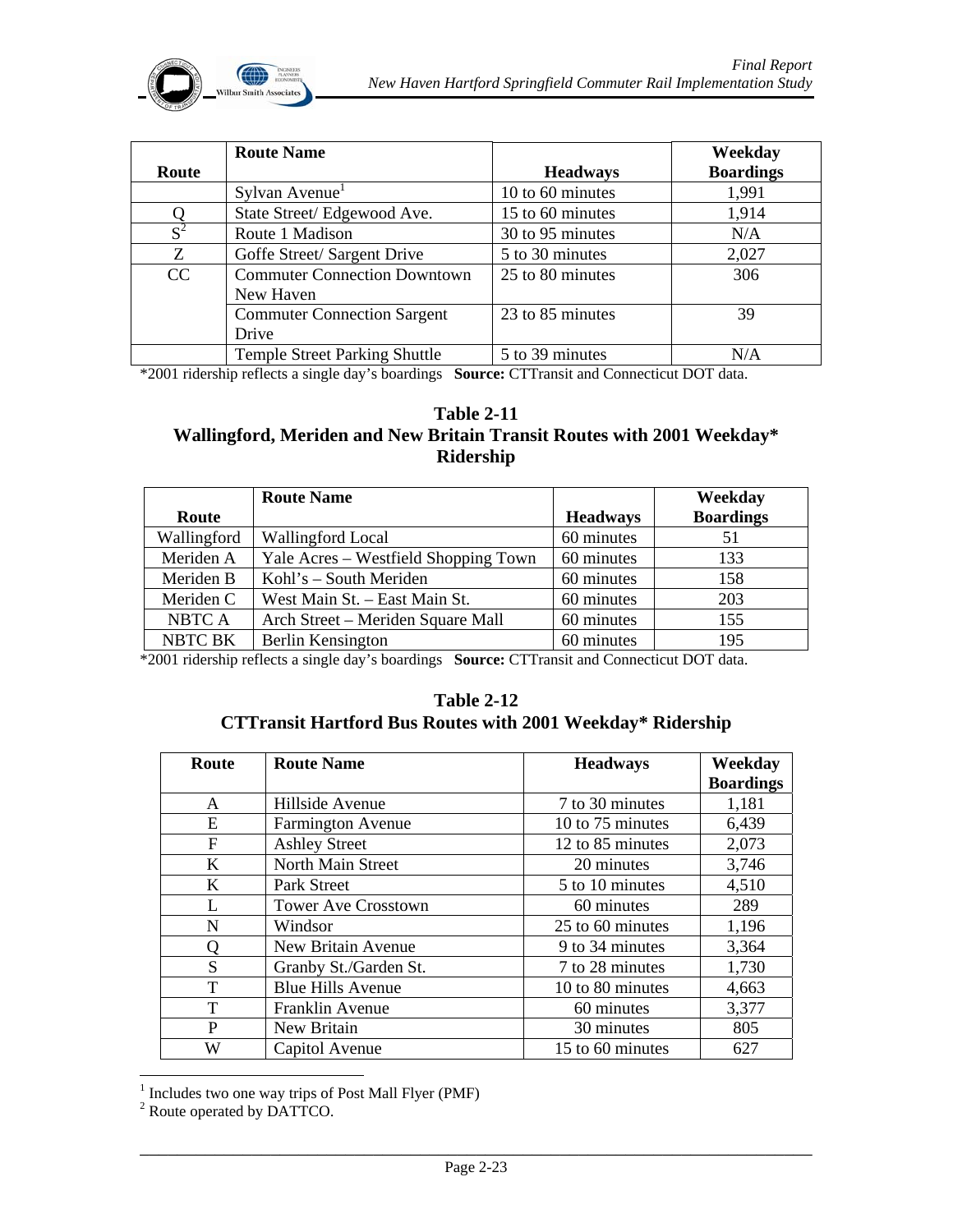

|       | <b>Route Name</b>                    |                  | Weekday          |
|-------|--------------------------------------|------------------|------------------|
| Route |                                      | <b>Headways</b>  | <b>Boardings</b> |
|       | Sylvan Avenue                        | 10 to 60 minutes | 1,991            |
|       | State Street/Edgewood Ave.           | 15 to 60 minutes | 1,914            |
| $S^2$ | Route 1 Madison                      | 30 to 95 minutes | N/A              |
| Z     | Goffe Street/ Sargent Drive          | 5 to 30 minutes  | 2,027            |
| CC    | <b>Commuter Connection Downtown</b>  | 25 to 80 minutes | 306              |
|       | New Haven                            |                  |                  |
|       | <b>Commuter Connection Sargent</b>   | 23 to 85 minutes | 39               |
|       | Drive                                |                  |                  |
|       | <b>Temple Street Parking Shuttle</b> | 5 to 39 minutes  | N/A              |

\*2001 ridership reflects a single day's boardings **Source:** CTTransit and Connecticut DOT data.

#### **Table 2-11 Wallingford, Meriden and New Britain Transit Routes with 2001 Weekday\* Ridership**

|                | <b>Route Name</b>                    |                 | Weekday          |
|----------------|--------------------------------------|-----------------|------------------|
| Route          |                                      | <b>Headways</b> | <b>Boardings</b> |
| Wallingford    | Wallingford Local                    | 60 minutes      | 51               |
| Meriden A      | Yale Acres – Westfield Shopping Town | 60 minutes      | 133              |
| Meriden B      | Kohl's – South Meriden               | 60 minutes      | 158              |
| Meriden C      | West Main St. - East Main St.        | 60 minutes      | 203              |
| NBTC A         | Arch Street – Meriden Square Mall    | 60 minutes      | 155              |
| <b>NBTC BK</b> | Berlin Kensington                    | 60 minutes      | 195              |

\*2001 ridership reflects a single day's boardings **Source:** CTTransit and Connecticut DOT data.

#### **Table 2-12 CTTransit Hartford Bus Routes with 2001 Weekday\* Ridership**

| Route        | <b>Route Name</b>          | <b>Headways</b>         | Weekday          |
|--------------|----------------------------|-------------------------|------------------|
|              |                            |                         | <b>Boardings</b> |
| $\mathsf{A}$ | Hillside Avenue            | 7 to 30 minutes         | 1,181            |
| E            | <b>Farmington Avenue</b>   | 10 to 75 minutes        | 6,439            |
| $\mathbf{F}$ | <b>Ashley Street</b>       | 12 to 85 minutes        | 2,073            |
| K            | North Main Street          | 20 minutes              | 3,746            |
| K            | Park Street                | 5 to 10 minutes         | 4,510            |
| L            | <b>Tower Ave Crosstown</b> | 60 minutes              | 289              |
| N            | Windsor                    | 25 to 60 minutes        | 1,196            |
| Q            | New Britain Avenue         | 9 to 34 minutes         | 3,364            |
| S            | Granby St./Garden St.      | 7 to 28 minutes         | 1,730            |
| T            | <b>Blue Hills Avenue</b>   | 10 to 80 minutes        | 4,663            |
| T            | Franklin Avenue            | 60 minutes              | 3,377            |
| P            | New Britain                | 30 minutes              | 805              |
| W            | Capitol Avenue             | 15 to 60 minutes<br>627 |                  |

<sup>1</sup> Includes two one way trips of Post Mall Flyer (PMF)<sup>2</sup> Route operated by DATTCO.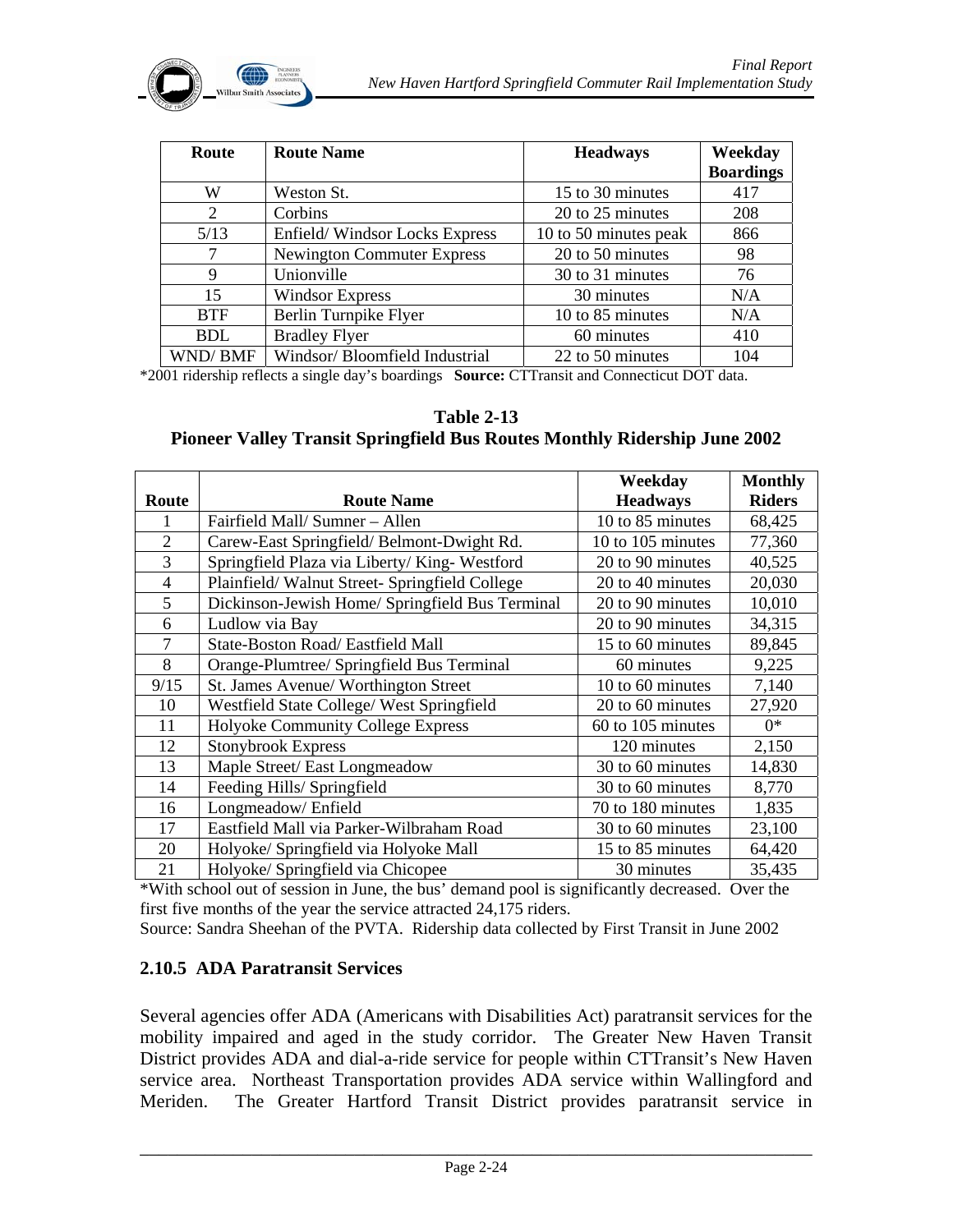| Route          | <b>Route Name</b>                 | <b>Headways</b>       | Weekday          |
|----------------|-----------------------------------|-----------------------|------------------|
|                |                                   |                       | <b>Boardings</b> |
| W              | Weston St.                        | 15 to 30 minutes      | 417              |
| 2              | Corbins                           | 20 to 25 minutes      | 208              |
| 5/13           | Enfield/Windsor Locks Express     | 10 to 50 minutes peak | 866              |
| 7              | <b>Newington Commuter Express</b> | 20 to 50 minutes      | 98               |
| 9              | Unionville                        | 30 to 31 minutes      | 76               |
| 15             | <b>Windsor Express</b>            | 30 minutes            | N/A              |
| <b>BTF</b>     | Berlin Turnpike Flyer             | 10 to 85 minutes      | N/A              |
| <b>BDL</b>     | <b>Bradley Flyer</b>              | 60 minutes            | 410              |
| <b>WND/BMF</b> | Windsor/Bloomfield Industrial     | 22 to 50 minutes      | 104              |

\*2001 ridership reflects a single day's boardings **Source:** CTTransit and Connecticut DOT data.

**Table 2-13 Pioneer Valley Transit Springfield Bus Routes Monthly Ridership June 2002** 

|                |                                                 | Weekday           | <b>Monthly</b> |
|----------------|-------------------------------------------------|-------------------|----------------|
| Route          | <b>Route Name</b>                               | <b>Headways</b>   | <b>Riders</b>  |
|                | Fairfield Mall/Sumner - Allen                   | 10 to 85 minutes  | 68,425         |
| $\overline{2}$ | Carew-East Springfield/Belmont-Dwight Rd.       | 10 to 105 minutes | 77,360         |
| 3              | Springfield Plaza via Liberty/King-Westford     | 20 to 90 minutes  | 40,525         |
| $\overline{4}$ | Plainfield/Walnut Street- Springfield College   | 20 to 40 minutes  | 20,030         |
| 5              | Dickinson-Jewish Home/ Springfield Bus Terminal | 20 to 90 minutes  | 10,010         |
| 6              | Ludlow via Bay                                  | 20 to 90 minutes  | 34,315         |
| $\overline{7}$ | State-Boston Road/ Eastfield Mall               | 15 to 60 minutes  | 89,845         |
| 8              | Orange-Plumtree/ Springfield Bus Terminal       | 60 minutes        | 9,225          |
| 9/15           | St. James Avenue/ Worthington Street            | 10 to 60 minutes  | 7,140          |
| 10             | Westfield State College/ West Springfield       | 20 to 60 minutes  | 27,920         |
| 11             | Holyoke Community College Express               | 60 to 105 minutes | $0*$           |
| 12             | <b>Stonybrook Express</b>                       | 120 minutes       | 2,150          |
| 13             | Maple Street/ East Longmeadow                   | 30 to 60 minutes  | 14,830         |
| 14             | Feeding Hills/ Springfield                      | 30 to 60 minutes  | 8,770          |
| 16             | Longmeadow/Enfield                              | 70 to 180 minutes | 1,835          |
| 17             | Eastfield Mall via Parker-Wilbraham Road        | 30 to 60 minutes  | 23,100         |
| 20             | Holyoke/ Springfield via Holyoke Mall           | 15 to 85 minutes  | 64,420         |
| 21             | Holyoke/ Springfield via Chicopee               | 30 minutes        | 35,435         |

\*With school out of session in June, the bus' demand pool is significantly decreased. Over the first five months of the year the service attracted 24,175 riders.

Source: Sandra Sheehan of the PVTA. Ridership data collected by First Transit in June 2002

#### **2.10.5 ADA Paratransit Services**

Several agencies offer ADA (Americans with Disabilities Act) paratransit services for the mobility impaired and aged in the study corridor. The Greater New Haven Transit District provides ADA and dial-a-ride service for people within CTTransit's New Haven service area. Northeast Transportation provides ADA service within Wallingford and Meriden. The Greater Hartford Transit District provides paratransit service in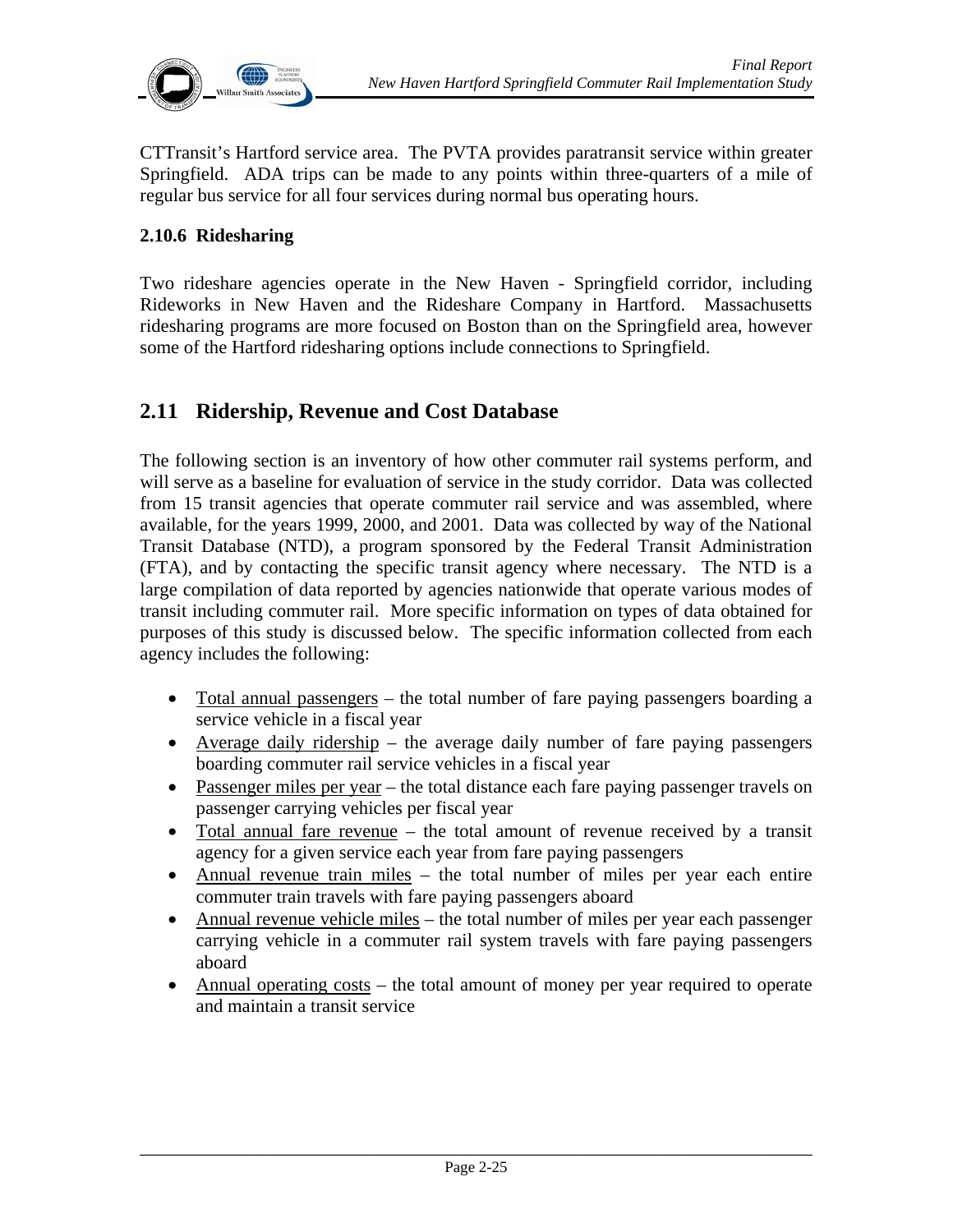

CTTransit's Hartford service area. The PVTA provides paratransit service within greater Springfield. ADA trips can be made to any points within three-quarters of a mile of regular bus service for all four services during normal bus operating hours.

#### **2.10.6 Ridesharing**

Two rideshare agencies operate in the New Haven - Springfield corridor, including Rideworks in New Haven and the Rideshare Company in Hartford. Massachusetts ridesharing programs are more focused on Boston than on the Springfield area, however some of the Hartford ridesharing options include connections to Springfield.

## **2.11 Ridership, Revenue and Cost Database**

The following section is an inventory of how other commuter rail systems perform, and will serve as a baseline for evaluation of service in the study corridor. Data was collected from 15 transit agencies that operate commuter rail service and was assembled, where available, for the years 1999, 2000, and 2001. Data was collected by way of the National Transit Database (NTD), a program sponsored by the Federal Transit Administration (FTA), and by contacting the specific transit agency where necessary. The NTD is a large compilation of data reported by agencies nationwide that operate various modes of transit including commuter rail. More specific information on types of data obtained for purposes of this study is discussed below. The specific information collected from each agency includes the following:

- Total annual passengers the total number of fare paying passengers boarding a service vehicle in a fiscal year
- Average daily ridership the average daily number of fare paying passengers boarding commuter rail service vehicles in a fiscal year
- Passenger miles per year the total distance each fare paying passenger travels on passenger carrying vehicles per fiscal year
- Total annual fare revenue the total amount of revenue received by a transit agency for a given service each year from fare paying passengers
- Annual revenue train miles the total number of miles per year each entire commuter train travels with fare paying passengers aboard
- Annual revenue vehicle miles the total number of miles per year each passenger carrying vehicle in a commuter rail system travels with fare paying passengers aboard
- Annual operating costs the total amount of money per year required to operate and maintain a transit service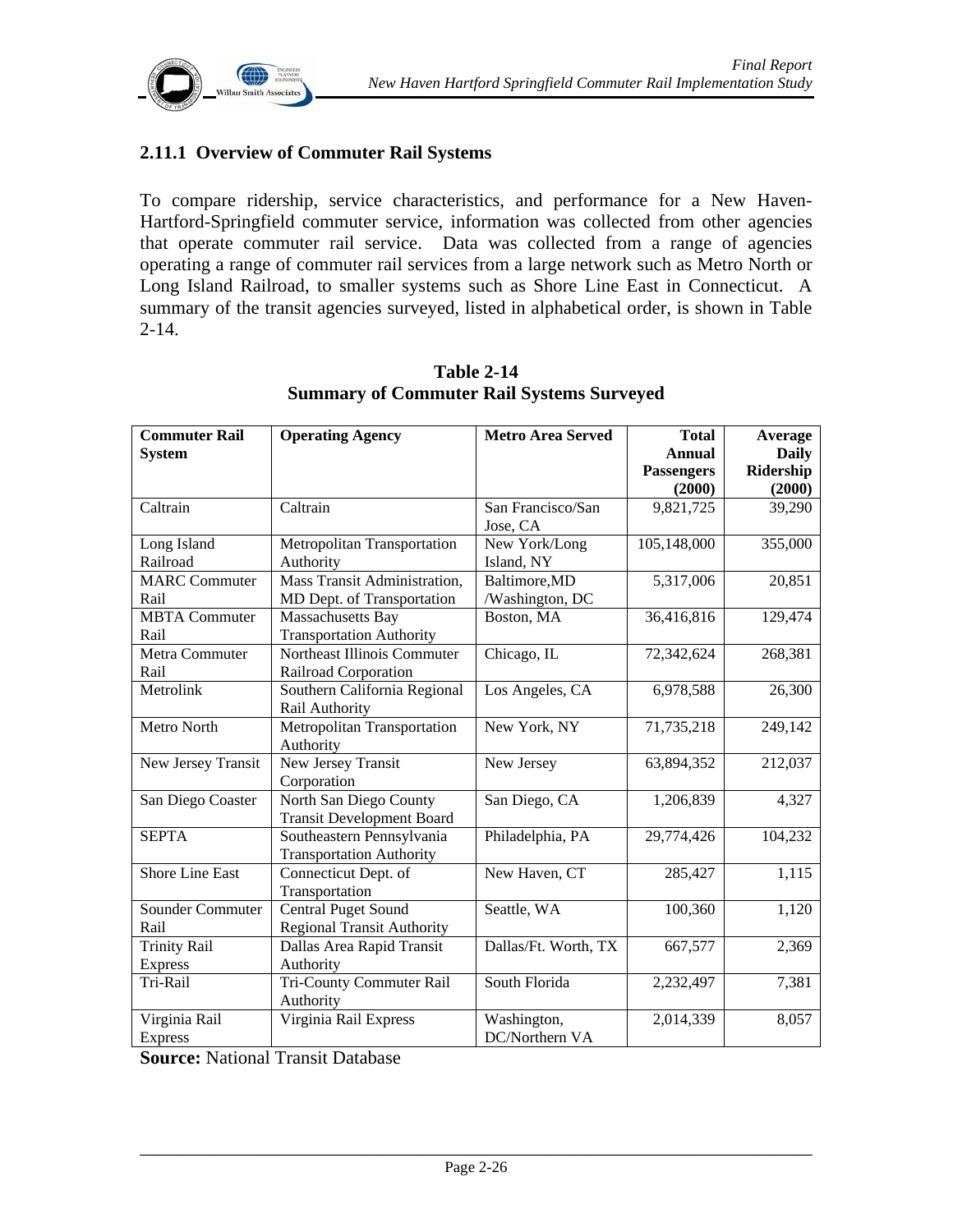

#### **2.11.1 Overview of Commuter Rail Systems**

To compare ridership, service characteristics, and performance for a New Haven-Hartford-Springfield commuter service, information was collected from other agencies that operate commuter rail service. Data was collected from a range of agencies operating a range of commuter rail services from a large network such as Metro North or Long Island Railroad, to smaller systems such as Shore Line East in Connecticut. A summary of the transit agencies surveyed, listed in alphabetical order, is shown in Table  $2 - 14.$ 

| <b>Commuter Rail</b>   | <b>Operating Agency</b>           | <b>Metro Area Served</b> | <b>Total</b>      | Average      |
|------------------------|-----------------------------------|--------------------------|-------------------|--------------|
| <b>System</b>          |                                   |                          | Annual            | <b>Daily</b> |
|                        |                                   |                          | <b>Passengers</b> | Ridership    |
|                        |                                   |                          | (2000)            | (2000)       |
| Caltrain               | Caltrain                          | San Francisco/San        | 9,821,725         | 39,290       |
|                        |                                   | Jose, CA                 |                   |              |
| Long Island            | Metropolitan Transportation       | New York/Long            | 105,148,000       | 355,000      |
| Railroad               | Authority                         | Island, NY               |                   |              |
| <b>MARC</b> Commuter   | Mass Transit Administration,      | Baltimore, MD            | 5,317,006         | 20,851       |
| Rail                   | MD Dept. of Transportation        | /Washington, DC          |                   |              |
| <b>MBTA</b> Commuter   | Massachusetts Bay                 | Boston, MA               | 36,416,816        | 129,474      |
| Rail                   | <b>Transportation Authority</b>   |                          |                   |              |
| Metra Commuter         | Northeast Illinois Commuter       | Chicago, IL              | 72,342,624        | 268,381      |
| Rail                   | Railroad Corporation              |                          |                   |              |
| Metrolink              | Southern California Regional      | Los Angeles, CA          | 6,978,588         | 26,300       |
|                        | Rail Authority                    |                          |                   |              |
| Metro North            | Metropolitan Transportation       | New York, NY             | 71,735,218        | 249,142      |
|                        | Authority                         |                          |                   |              |
| New Jersey Transit     | New Jersey Transit                | New Jersey               | 63,894,352        | 212,037      |
|                        | Corporation                       |                          |                   |              |
| San Diego Coaster      | North San Diego County            | San Diego, CA            | 1,206,839         | 4,327        |
|                        | <b>Transit Development Board</b>  |                          |                   |              |
| <b>SEPTA</b>           | Southeastern Pennsylvania         | Philadelphia, PA         | 29,774,426        | 104,232      |
|                        | <b>Transportation Authority</b>   |                          |                   |              |
| <b>Shore Line East</b> | Connecticut Dept. of              | New Haven, CT            | 285,427           | 1,115        |
|                        | Transportation                    |                          |                   |              |
| Sounder Commuter       | <b>Central Puget Sound</b>        | Seattle, WA              | 100,360           | 1,120        |
| Rail                   | <b>Regional Transit Authority</b> |                          |                   |              |
| <b>Trinity Rail</b>    | Dallas Area Rapid Transit         | Dallas/Ft. Worth, TX     | 667,577           | 2,369        |
| <b>Express</b>         | Authority                         |                          |                   |              |
| Tri-Rail               | Tri-County Commuter Rail          | South Florida            | 2,232,497         | 7,381        |
|                        | Authority                         |                          |                   |              |
| Virginia Rail          | Virginia Rail Express             | Washington,              | 2,014,339         | 8,057        |
| <b>Express</b>         |                                   | DC/Northern VA           |                   |              |

#### **Table 2-14 Summary of Commuter Rail Systems Surveyed**

**Source:** National Transit Database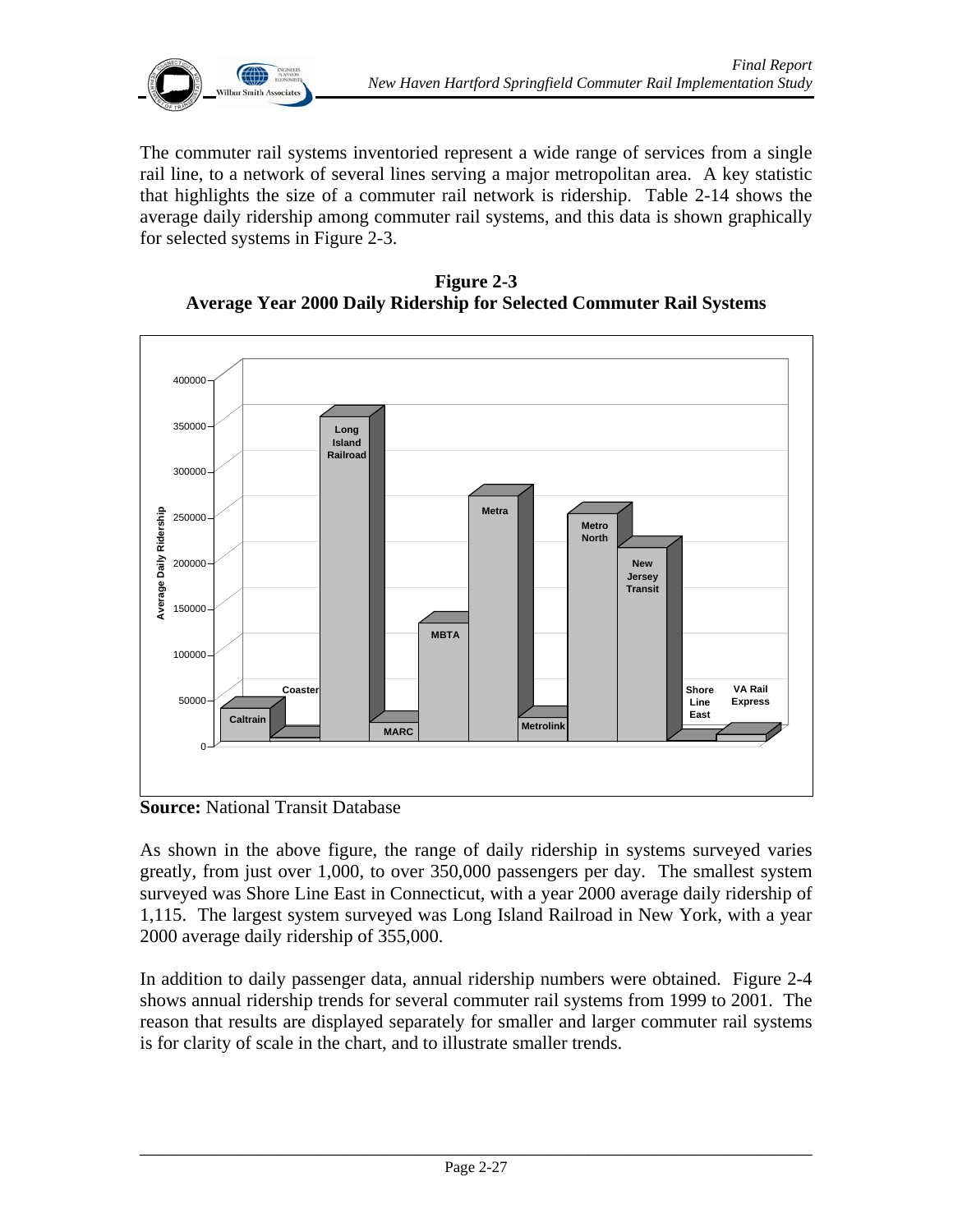

The commuter rail systems inventoried represent a wide range of services from a single rail line, to a network of several lines serving a major metropolitan area. A key statistic that highlights the size of a commuter rail network is ridership. Table 2-14 shows the average daily ridership among commuter rail systems, and this data is shown graphically for selected systems in Figure 2-3.

**Figure 2-3 Average Year 2000 Daily Ridership for Selected Commuter Rail Systems** 



**Source:** National Transit Database

As shown in the above figure, the range of daily ridership in systems surveyed varies greatly, from just over 1,000, to over 350,000 passengers per day. The smallest system surveyed was Shore Line East in Connecticut, with a year 2000 average daily ridership of 1,115. The largest system surveyed was Long Island Railroad in New York, with a year 2000 average daily ridership of 355,000.

In addition to daily passenger data, annual ridership numbers were obtained. Figure 2-4 shows annual ridership trends for several commuter rail systems from 1999 to 2001. The reason that results are displayed separately for smaller and larger commuter rail systems is for clarity of scale in the chart, and to illustrate smaller trends.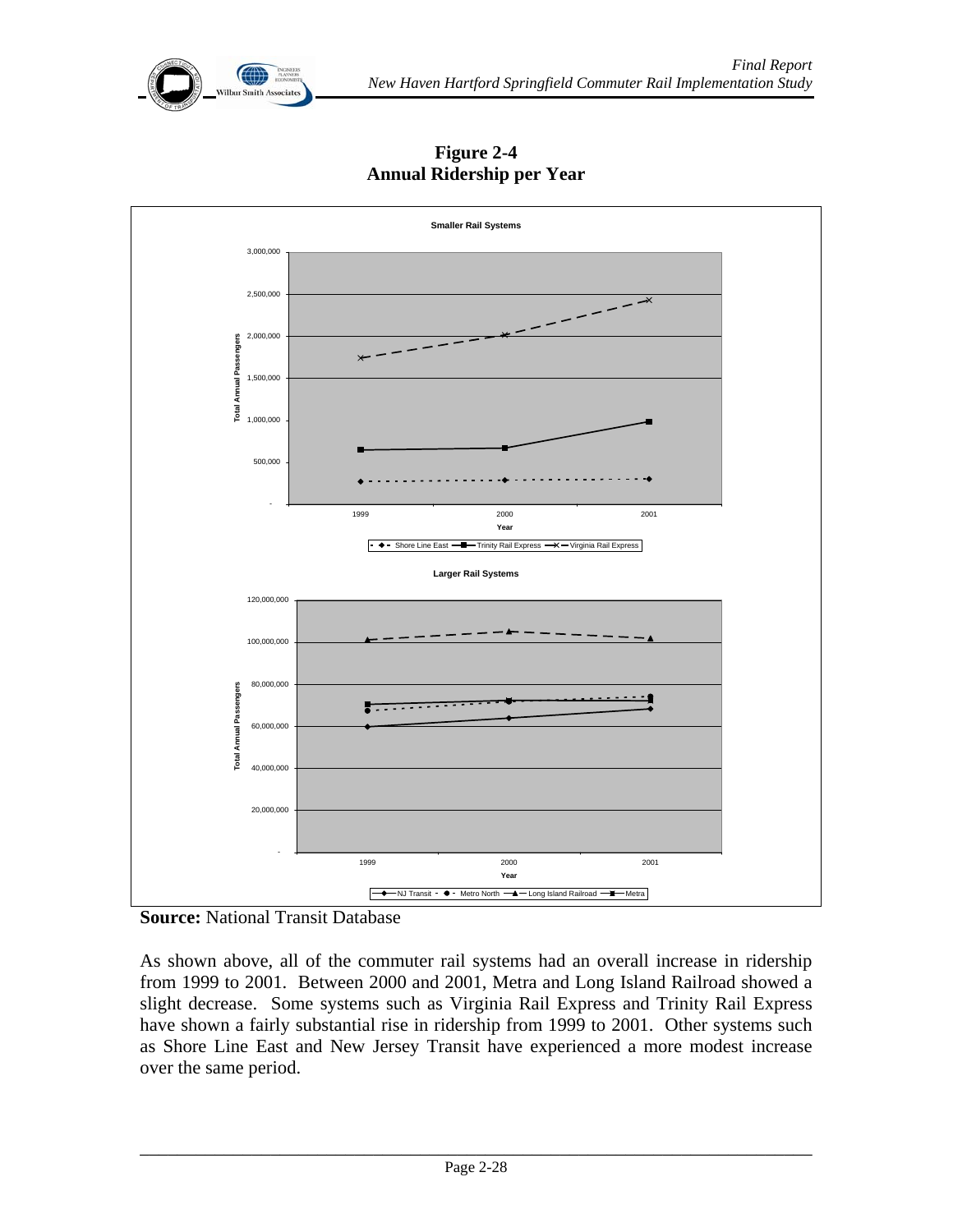



**Figure 2-4 Annual Ridership per Year** 

As shown above, all of the commuter rail systems had an overall increase in ridership from 1999 to 2001. Between 2000 and 2001, Metra and Long Island Railroad showed a slight decrease. Some systems such as Virginia Rail Express and Trinity Rail Express have shown a fairly substantial rise in ridership from 1999 to 2001. Other systems such as Shore Line East and New Jersey Transit have experienced a more modest increase over the same period.

**Source:** National Transit Database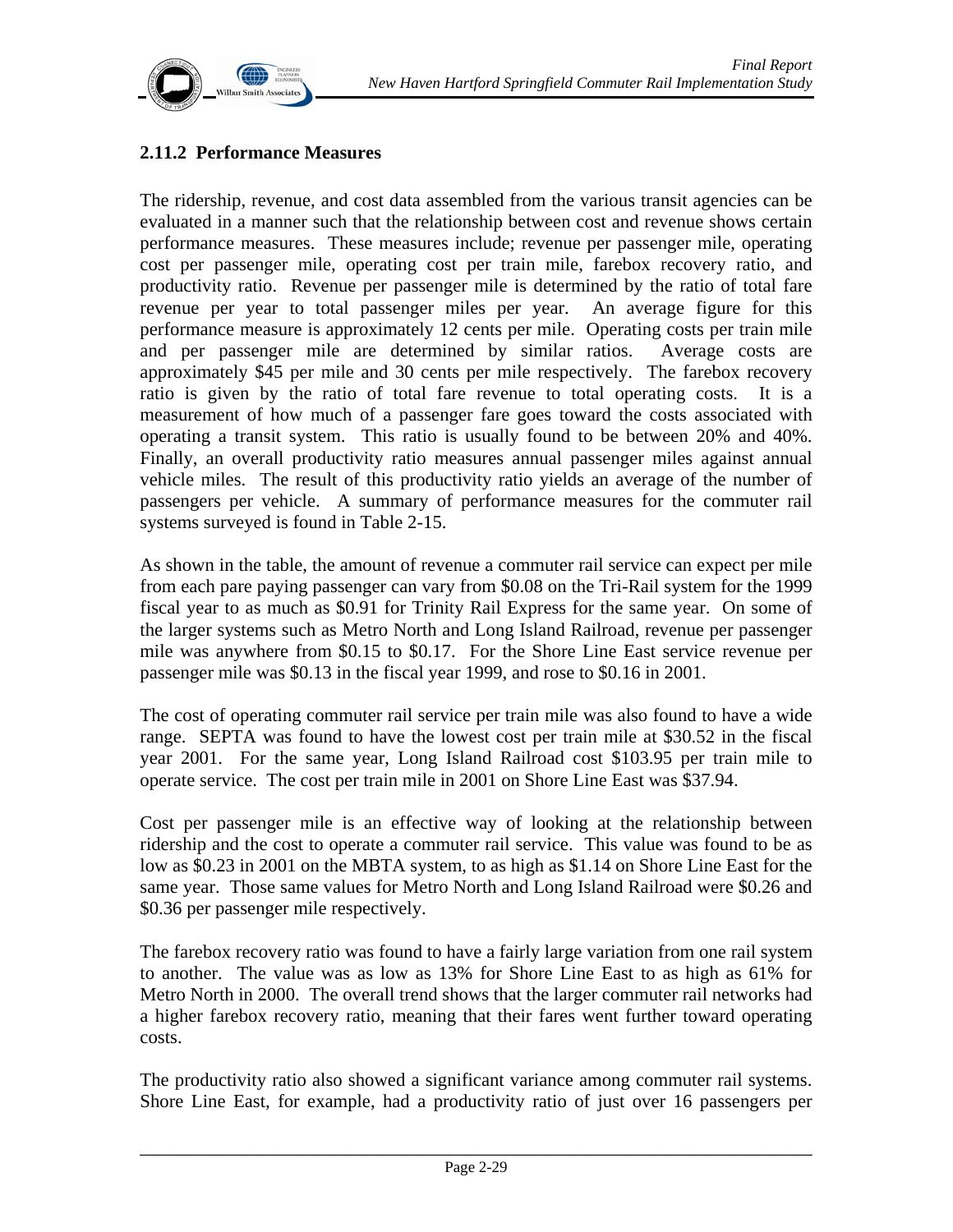

#### **2.11.2 Performance Measures**

The ridership, revenue, and cost data assembled from the various transit agencies can be evaluated in a manner such that the relationship between cost and revenue shows certain performance measures. These measures include; revenue per passenger mile, operating cost per passenger mile, operating cost per train mile, farebox recovery ratio, and productivity ratio. Revenue per passenger mile is determined by the ratio of total fare revenue per year to total passenger miles per year. An average figure for this performance measure is approximately 12 cents per mile. Operating costs per train mile and per passenger mile are determined by similar ratios. Average costs are approximately \$45 per mile and 30 cents per mile respectively. The farebox recovery ratio is given by the ratio of total fare revenue to total operating costs. It is a measurement of how much of a passenger fare goes toward the costs associated with operating a transit system. This ratio is usually found to be between 20% and 40%. Finally, an overall productivity ratio measures annual passenger miles against annual vehicle miles. The result of this productivity ratio yields an average of the number of passengers per vehicle. A summary of performance measures for the commuter rail systems surveyed is found in Table 2-15.

As shown in the table, the amount of revenue a commuter rail service can expect per mile from each pare paying passenger can vary from \$0.08 on the Tri-Rail system for the 1999 fiscal year to as much as \$0.91 for Trinity Rail Express for the same year. On some of the larger systems such as Metro North and Long Island Railroad, revenue per passenger mile was anywhere from \$0.15 to \$0.17. For the Shore Line East service revenue per passenger mile was \$0.13 in the fiscal year 1999, and rose to \$0.16 in 2001.

The cost of operating commuter rail service per train mile was also found to have a wide range. SEPTA was found to have the lowest cost per train mile at \$30.52 in the fiscal year 2001. For the same year, Long Island Railroad cost \$103.95 per train mile to operate service. The cost per train mile in 2001 on Shore Line East was \$37.94.

Cost per passenger mile is an effective way of looking at the relationship between ridership and the cost to operate a commuter rail service. This value was found to be as low as \$0.23 in 2001 on the MBTA system, to as high as \$1.14 on Shore Line East for the same year. Those same values for Metro North and Long Island Railroad were \$0.26 and \$0.36 per passenger mile respectively.

The farebox recovery ratio was found to have a fairly large variation from one rail system to another. The value was as low as 13% for Shore Line East to as high as 61% for Metro North in 2000. The overall trend shows that the larger commuter rail networks had a higher farebox recovery ratio, meaning that their fares went further toward operating costs.

The productivity ratio also showed a significant variance among commuter rail systems. Shore Line East, for example, had a productivity ratio of just over 16 passengers per